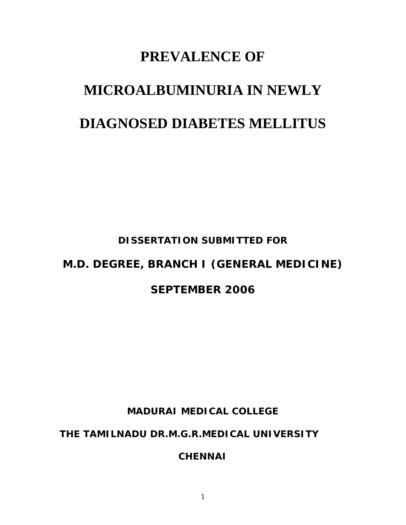# **PREVALENCE OF MICROALBUMINURIA IN NEWLY DIAGNOSED DIABETES MELLITUS**

**DISSERTATION SUBMITTED FOR** 

# **M.D. DEGREE, BRANCH I (GENERAL MEDICINE)**

### **SEPTEMBER 2006**

**MADURAI MEDICAL COLLEGE** 

**THE TAMILNADU DR.M.G.R.MEDICAL UNIVERSITY** 

**CHENNAI**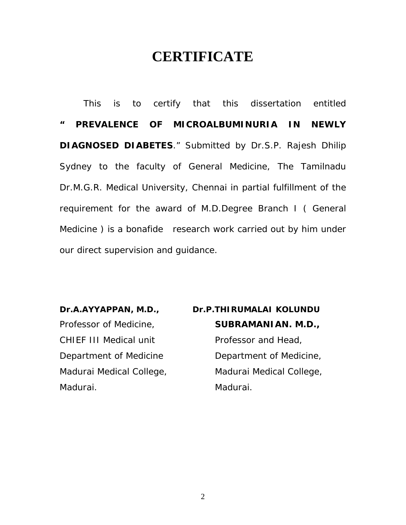### **CERTIFICATE**

This is to certify that this dissertation entitled **" PREVALENCE OF MICROALBUMINURIA IN NEWLY DIAGNOSED DIABETES**." Submitted by Dr.S.P. Rajesh Dhilip Sydney to the faculty of General Medicine, The Tamilnadu Dr.M.G.R. Medical University, Chennai in partial fulfillment of the requirement for the award of M.D.Degree Branch I ( General Medicine ) is a bonafide research work carried out by him under our direct supervision and guidance.

Madurai. Madurai.

# Dr.A.AYYAPPAN, M.D., Dr.P.THIRUMALAI KOLUNDU Professor of Medicine, **SUBRAMANIAN. M.D.,**  CHIEF III Medical unit Professor and Head, Department of Medicine **Department of Medicine**, Madurai Medical College, Madurai Medical College,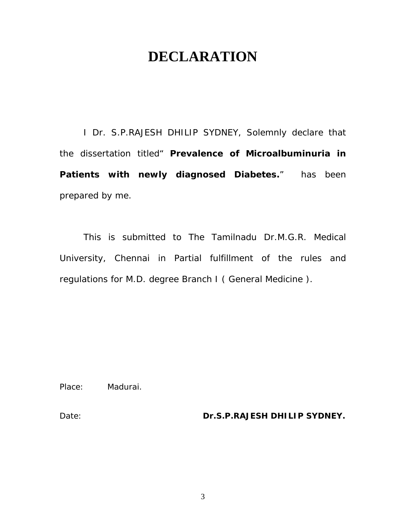### **DECLARATION**

I Dr. S.P.RAJESH DHILIP SYDNEY, Solemnly declare that the dissertation titled" **Prevalence of Microalbuminuria in Patients with newly diagnosed Diabetes.**" has been prepared by me.

 This is submitted to The Tamilnadu Dr.M.G.R. Medical University, Chennai in Partial fulfillment of the rules and regulations for M.D. degree Branch I ( General Medicine ).

Place: Madurai.

Date: **Dr.S.P.RAJESH DHILIP SYDNEY.**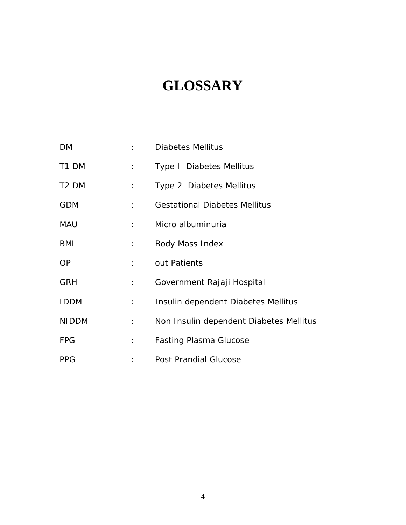# **GLOSSARY**

| DM                | $\mathcal{L} = \mathcal{L}$   | <b>Diabetes Mellitus</b>                |
|-------------------|-------------------------------|-----------------------------------------|
| T1 DM             | $1 - 1$                       | Type I Diabetes Mellitus                |
| T <sub>2</sub> DM | $\mathbb{R}^{n\times n}$      | Type 2 Diabetes Mellitus                |
| <b>GDM</b>        | $1 - 1$                       | <b>Gestational Diabetes Mellitus</b>    |
| <b>MAU</b>        | $\mathbb{R}^n$                | Micro albuminuria                       |
| <b>BMI</b>        | $1 - 1$                       | <b>Body Mass Index</b>                  |
| <b>OP</b>         | $1 - 1 - 1$                   | out Patients                            |
| <b>GRH</b>        | $1 - 1$                       | Government Rajaji Hospital              |
| <b>IDDM</b>       | $\mathbb{E}[\mathbf{r}_i]$ .  | Insulin dependent Diabetes Mellitus     |
| <b>NIDDM</b>      | $\mathbb{E}[\mathcal{E}_1]$ . | Non Insulin dependent Diabetes Mellitus |
| <b>FPG</b>        | $\mathbb{E}[\mathbf{r}_i]$ .  | <b>Fasting Plasma Glucose</b>           |
| <b>PPG</b>        |                               | Post Prandial Glucose                   |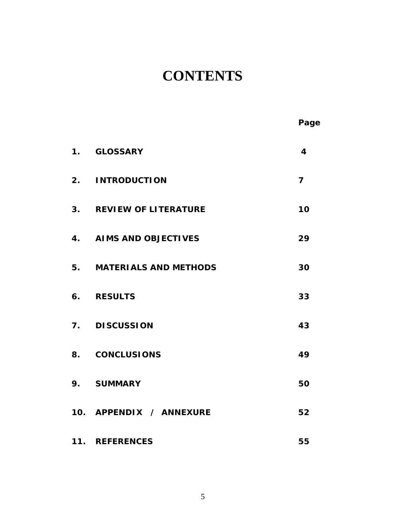# **CONTENTS**

|                    |                            | Page                    |
|--------------------|----------------------------|-------------------------|
|                    | 1. GLOSSARY                | $\overline{\mathbf{4}}$ |
|                    | 2. INTRODUCTION            | $\overline{7}$          |
|                    | 3. REVIEW OF LITERATURE    | 10                      |
| $\boldsymbol{4}$ . | <b>AIMS AND OBJECTIVES</b> | 29                      |
|                    | 5. MATERIALS AND METHODS   | 30                      |
|                    | 6. RESULTS                 | 33                      |
|                    | 7. DISCUSSION              | 43                      |
|                    | 8. CONCLUSIONS             | 49                      |
| 9.                 | <b>SUMMARY</b>             | 50                      |
|                    | 10. APPENDIX / ANNEXURE    | 52                      |
|                    | 11. REFERENCES             | 55                      |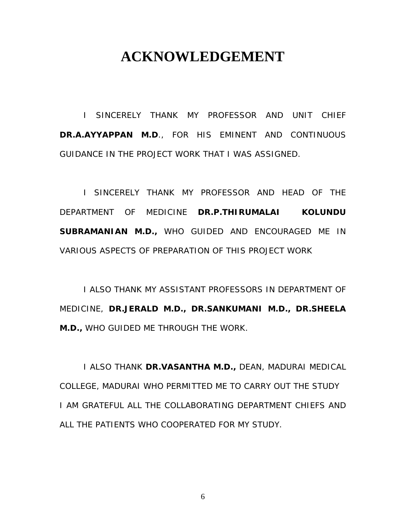### **ACKNOWLEDGEMENT**

I SINCERELY THANK MY PROFESSOR AND UNIT CHIEF **DR.A.AYYAPPAN M.D**., FOR HIS EMINENT AND CONTINUOUS GUIDANCE IN THE PROJECT WORK THAT I WAS ASSIGNED.

I SINCERELY THANK MY PROFESSOR AND HEAD OF THE DEPARTMENT OF MEDICINE **DR.P.THIRUMALAI KOLUNDU SUBRAMANIAN M.D.,** WHO GUIDED AND ENCOURAGED ME IN VARIOUS ASPECTS OF PREPARATION OF THIS PROJECT WORK

I ALSO THANK MY ASSISTANT PROFESSORS IN DEPARTMENT OF MEDICINE, **DR.JERALD M.D., DR.SANKUMANI M.D., DR.SHEELA M.D.,** WHO GUIDED ME THROUGH THE WORK.

I ALSO THANK **DR.VASANTHA M.D.,** DEAN, MADURAI MEDICAL COLLEGE, MADURAI WHO PERMITTED ME TO CARRY OUT THE STUDY I AM GRATEFUL ALL THE COLLABORATING DEPARTMENT CHIEFS AND ALL THE PATIENTS WHO COOPERATED FOR MY STUDY.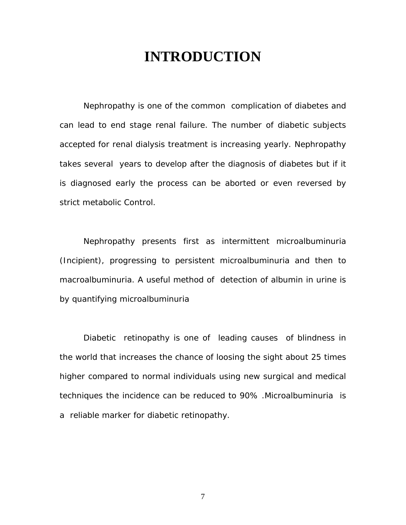### **INTRODUCTION**

Nephropathy is one of the common complication of diabetes and can lead to end stage renal failure. The number of diabetic subjects accepted for renal dialysis treatment is increasing yearly. Nephropathy takes several years to develop after the diagnosis of diabetes but if it is diagnosed early the process can be aborted or even reversed by strict metabolic Control.

Nephropathy presents first as intermittent microalbuminuria (Incipient), progressing to persistent microalbuminuria and then to macroalbuminuria. A useful method of detection of albumin in urine is by quantifying microalbuminuria

Diabetic retinopathy is one of leading causes of blindness in the world that increases the chance of loosing the sight about 25 times higher compared to normal individuals using new surgical and medical techniques the incidence can be reduced to 90% .Microalbuminuria is a reliable marker for diabetic retinopathy.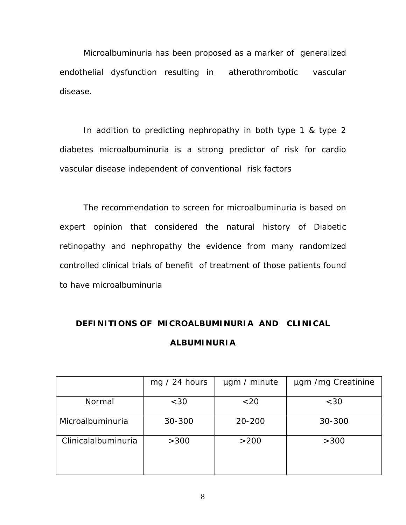Microalbuminuria has been proposed as a marker of generalized endothelial dysfunction resulting in atherothrombotic vascular disease.

In addition to predicting nephropathy in both type 1 & type 2 diabetes microalbuminuria is a strong predictor of risk for cardio vascular disease independent of conventional risk factors

The recommendation to screen for microalbuminuria is based on expert opinion that considered the natural history of Diabetic retinopathy and nephropathy the evidence from many randomized controlled clinical trials of benefit of treatment of those patients found to have microalbuminuria

### **DEFINITIONS OF MICROALBUMINURIA AND CLINICAL ALBUMINURIA**

|                     | mg $/$ 24 hours | µgm / minute | ugm /mg Creatinine |
|---------------------|-----------------|--------------|--------------------|
| Normal              | $<$ 30          | < 20         | <30                |
| Microalbuminuria    | 30-300          | 20-200       | 30-300             |
| Clinicalalbuminuria | >300            | >200         | >300               |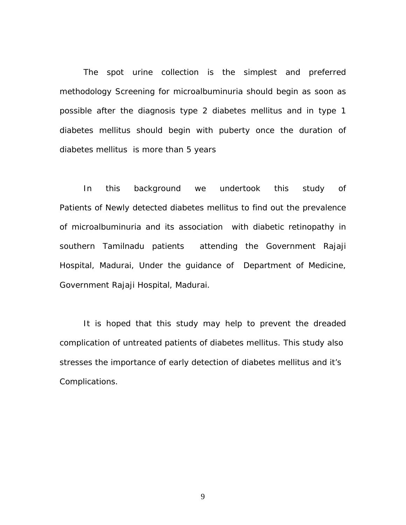The spot urine collection is the simplest and preferred methodology Screening for microalbuminuria should begin as soon as possible after the diagnosis type 2 diabetes mellitus and in type 1 diabetes mellitus should begin with puberty once the duration of diabetes mellitus is more than 5 years

In this background we undertook this study of Patients of Newly detected diabetes mellitus to find out the prevalence of microalbuminuria and its association with diabetic retinopathy in southern Tamilnadu patients attending the Government Rajaji Hospital, Madurai, Under the guidance of Department of Medicine, Government Rajaji Hospital, Madurai.

It is hoped that this study may help to prevent the dreaded complication of untreated patients of diabetes mellitus. This study also stresses the importance of early detection of diabetes mellitus and it's Complications.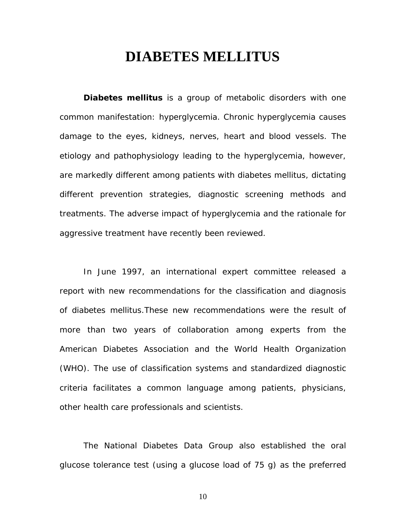### **DIABETES MELLITUS**

**Diabetes mellitus** is a group of metabolic disorders with one common manifestation: hyperglycemia. Chronic hyperglycemia causes damage to the eyes, kidneys, nerves, heart and blood vessels. The etiology and pathophysiology leading to the hyperglycemia, however, are markedly different among patients with diabetes mellitus, dictating different prevention strategies, diagnostic screening methods and treatments. The adverse impact of hyperglycemia and the rationale for aggressive treatment have recently been reviewed.

In June 1997, an international expert committee released a report with new recommendations for the classification and diagnosis of diabetes mellitus.These new recommendations were the result of more than two years of collaboration among experts from the American Diabetes Association and the World Health Organization (WHO). The use of classification systems and standardized diagnostic criteria facilitates a common language among patients, physicians, other health care professionals and scientists.

The National Diabetes Data Group also established the oral glucose tolerance test (using a glucose load of 75 g) as the preferred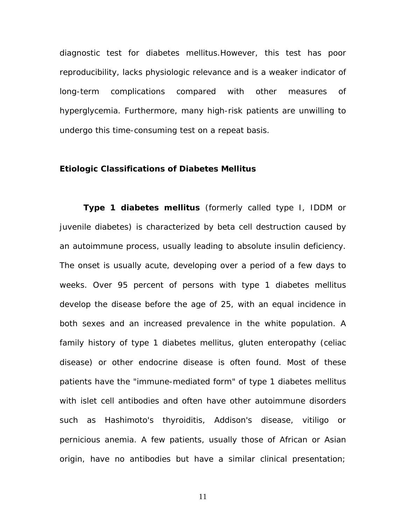diagnostic test for diabetes mellitus.However, this test has poor reproducibility, lacks physiologic relevance and is a weaker indicator of long-term complications compared with other measures of hyperglycemia. Furthermore, many high-risk patients are unwilling to undergo this time-consuming test on a repeat basis.

#### **Etiologic Classifications of Diabetes Mellitus**

**Type 1 diabetes mellitus** (formerly called type I, IDDM or juvenile diabetes) is characterized by beta cell destruction caused by an autoimmune process, usually leading to absolute insulin deficiency. The onset is usually acute, developing over a period of a few days to weeks. Over 95 percent of persons with type 1 diabetes mellitus develop the disease before the age of 25, with an equal incidence in both sexes and an increased prevalence in the white population. A family history of type 1 diabetes mellitus, gluten enteropathy (celiac disease) or other endocrine disease is often found. Most of these patients have the "immune-mediated form" of type 1 diabetes mellitus with islet cell antibodies and often have other autoimmune disorders such as Hashimoto's thyroiditis, Addison's disease, vitiligo or pernicious anemia. A few patients, usually those of African or Asian origin, have no antibodies but have a similar clinical presentation;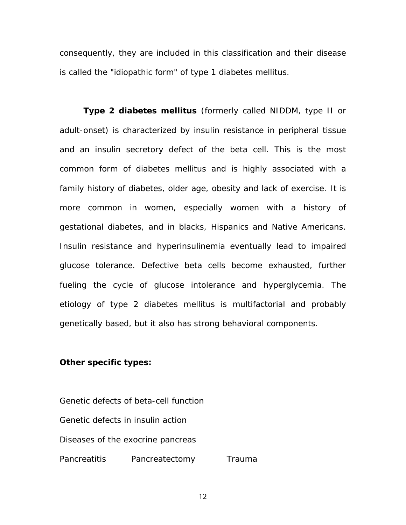consequently, they are included in this classification and their disease is called the "idiopathic form" of type 1 diabetes mellitus.

**Type 2 diabetes mellitus** (formerly called NIDDM, type II or adult-onset) is characterized by insulin resistance in peripheral tissue and an insulin secretory defect of the beta cell. This is the most common form of diabetes mellitus and is highly associated with a family history of diabetes, older age, obesity and lack of exercise. It is more common in women, especially women with a history of gestational diabetes, and in blacks, Hispanics and Native Americans. Insulin resistance and hyperinsulinemia eventually lead to impaired glucose tolerance. Defective beta cells become exhausted, further fueling the cycle of glucose intolerance and hyperglycemia. The etiology of type 2 diabetes mellitus is multifactorial and probably genetically based, but it also has strong behavioral components.

#### **Other specific types:**

Genetic defects of beta-cell function Genetic defects in insulin action Diseases of the exocrine pancreas Pancreatitis Pancreatectomy Trauma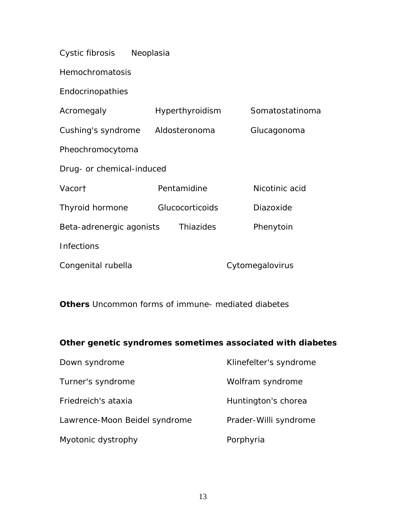Cystic fibrosis Neoplasia

Hemochromatosis

Endocrinopathies

| Acromegaly                | Hyperthyroidism        | Somatostatinoma |
|---------------------------|------------------------|-----------------|
| Cushing's syndrome        | Aldosteronoma          | Glucagonoma     |
| Pheochromocytoma          |                        |                 |
| Drug- or chemical-induced |                        |                 |
| Vacort                    | Pentamidine            | Nicotinic acid  |
| Thyroid hormone           | <b>Glucocorticoids</b> | Diazoxide       |
| Beta-adrenergic agonists  | Thiazides              | Phenytoin       |
| <b>Infections</b>         |                        |                 |
| Congenital rubella        |                        | Cytomegalovirus |

**Others** Uncommon forms of immune- mediated diabetes

#### **Other genetic syndromes sometimes associated with diabetes**

| Down syndrome                 | Klinefelter's syndrome |
|-------------------------------|------------------------|
| Turner's syndrome             | Wolfram syndrome       |
| Friedreich's ataxia           | Huntington's chorea    |
| Lawrence-Moon Beidel syndrome | Prader-Willi syndrome  |
| Myotonic dystrophy            | Porphyria              |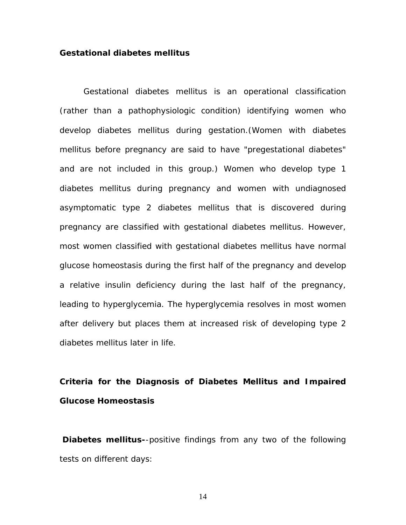#### **Gestational diabetes mellitus**

Gestational diabetes mellitus is an operational classification (rather than a pathophysiologic condition) identifying women who develop diabetes mellitus during gestation.(Women with diabetes mellitus before pregnancy are said to have "pregestational diabetes" and are not included in this group.) Women who develop type 1 diabetes mellitus during pregnancy and women with undiagnosed asymptomatic type 2 diabetes mellitus that is discovered during pregnancy are classified with gestational diabetes mellitus. However, most women classified with gestational diabetes mellitus have normal glucose homeostasis during the first half of the pregnancy and develop a relative insulin deficiency during the last half of the pregnancy, leading to hyperglycemia. The hyperglycemia resolves in most women after delivery but places them at increased risk of developing type 2 diabetes mellitus later in life.

### **Criteria for the Diagnosis of Diabetes Mellitus and Impaired Glucose Homeostasis**

**Diabetes mellitus-**-positive findings from any two of the following tests on different days: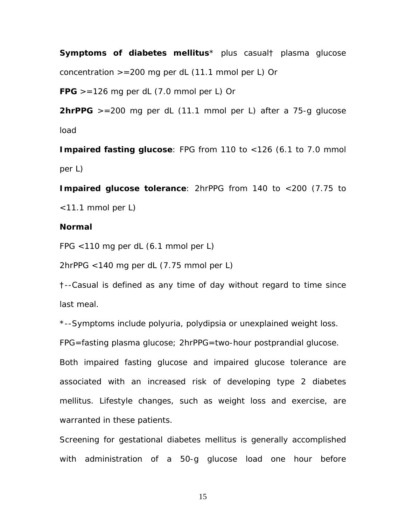**Symptoms of diabetes mellitus**\* plus casual† plasma glucose concentration  $>=200$  mg per dL (11.1 mmol per L) Or

 $FPG > = 126$  mg per dL  $(7.0$  mmol per L) Or

**2hrPPG** >=200 mg per dL (11.1 mmol per L) after a 75-g glucose load

**Impaired fasting glucose**: FPG from 110 to <126 (6.1 to 7.0 mmol per L)

**Impaired glucose tolerance**: 2hrPPG from 140 to <200 (7.75 to <11.1 mmol per L)

#### **Normal**

FPG <110 mg per dL (6.1 mmol per L)

2hrPPG <140 mg per dL (7.75 mmol per L)

†--Casual is defined as any time of day without regard to time since last meal.

\*--Symptoms include polyuria, polydipsia or unexplained weight loss.

FPG=fasting plasma glucose; 2hrPPG=two-hour postprandial glucose.

Both impaired fasting glucose and impaired glucose tolerance are associated with an increased risk of developing type 2 diabetes mellitus. Lifestyle changes, such as weight loss and exercise, are warranted in these patients.

Screening for gestational diabetes mellitus is generally accomplished with administration of a 50-g glucose load one hour before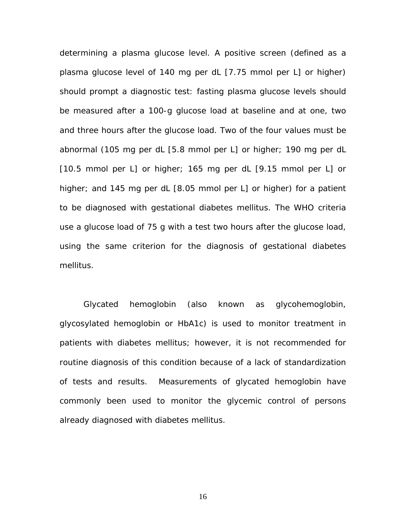determining a plasma glucose level. A positive screen (defined as a plasma glucose level of 140 mg per dL [7.75 mmol per L] or higher) should prompt a diagnostic test: fasting plasma glucose levels should be measured after a 100-g glucose load at baseline and at one, two and three hours after the glucose load. Two of the four values must be abnormal (105 mg per dL [5.8 mmol per L] or higher; 190 mg per dL [10.5 mmol per L] or higher; 165 mg per dL [9.15 mmol per L] or higher; and 145 mg per dL [8.05 mmol per L] or higher) for a patient to be diagnosed with gestational diabetes mellitus. The WHO criteria use a glucose load of 75 g with a test two hours after the glucose load, using the same criterion for the diagnosis of gestational diabetes mellitus.

Glycated hemoglobin (also known as glycohemoglobin, glycosylated hemoglobin or HbA1c) is used to monitor treatment in patients with diabetes mellitus; however, it is not recommended for routine diagnosis of this condition because of a lack of standardization of tests and results. Measurements of glycated hemoglobin have commonly been used to monitor the glycemic control of persons already diagnosed with diabetes mellitus.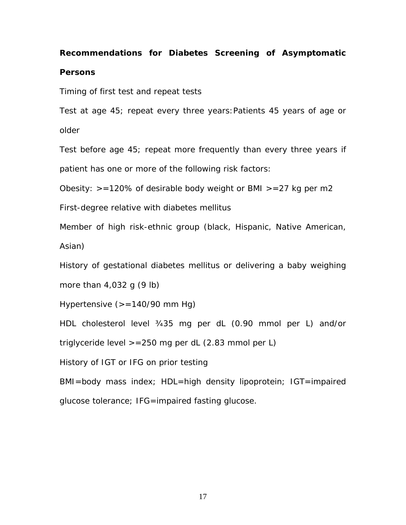### **Recommendations for Diabetes Screening of Asymptomatic Persons**

Timing of first test and repeat tests

Test at age 45; repeat every three years:Patients 45 years of age or older

Test before age 45; repeat more frequently than every three years if patient has one or more of the following risk factors:

Obesity:  $> =120\%$  of desirable body weight or BMI  $> =27$  kg per m2

First-degree relative with diabetes mellitus

Member of high risk-ethnic group (black, Hispanic, Native American, Asian)

History of gestational diabetes mellitus or delivering a baby weighing more than  $4,032$  g  $(9 \text{ lb})$ 

Hypertensive (>=140/90 mm Hg)

HDL cholesterol level ¾35 mg per dL (0.90 mmol per L) and/or

triglyceride level  $> = 250$  mg per dL (2.83 mmol per L)

History of IGT or IFG on prior testing

BMI=body mass index; HDL=high density lipoprotein; IGT=impaired glucose tolerance; IFG=impaired fasting glucose.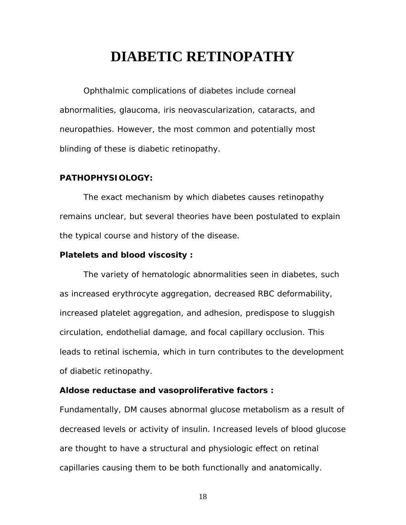### **DIABETIC RETINOPATHY**

Ophthalmic complications of diabetes include corneal abnormalities, glaucoma, iris neovascularization, cataracts, and neuropathies. However, the most common and potentially most blinding of these is diabetic retinopathy.

#### **PATHOPHYSIOLOGY:**

The exact mechanism by which diabetes causes retinopathy remains unclear, but several theories have been postulated to explain the typical course and history of the disease.

#### **Platelets and blood viscosity :**

The variety of hematologic abnormalities seen in diabetes, such as increased erythrocyte aggregation, decreased RBC deformability, increased platelet aggregation, and adhesion, predispose to sluggish circulation, endothelial damage, and focal capillary occlusion. This leads to retinal ischemia, which in turn contributes to the development of diabetic retinopathy.

#### **Aldose reductase and vasoproliferative factors :**

Fundamentally, DM causes abnormal glucose metabolism as a result of decreased levels or activity of insulin. Increased levels of blood glucose are thought to have a structural and physiologic effect on retinal capillaries causing them to be both functionally and anatomically.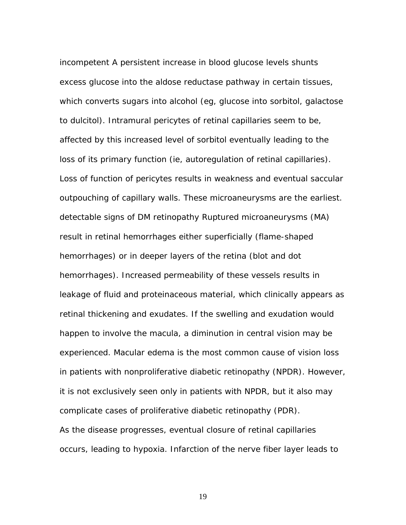incompetent A persistent increase in blood glucose levels shunts excess glucose into the aldose reductase pathway in certain tissues, which converts sugars into alcohol (eg, glucose into sorbitol, galactose to dulcitol). Intramural pericytes of retinal capillaries seem to be, affected by this increased level of sorbitol eventually leading to the loss of its primary function (ie, autoregulation of retinal capillaries). Loss of function of pericytes results in weakness and eventual saccular outpouching of capillary walls. These microaneurysms are the earliest. detectable signs of DM retinopathy Ruptured microaneurysms (MA) result in retinal hemorrhages either superficially (flame-shaped hemorrhages) or in deeper layers of the retina (blot and dot hemorrhages). Increased permeability of these vessels results in leakage of fluid and proteinaceous material, which clinically appears as retinal thickening and exudates. If the swelling and exudation would happen to involve the macula, a diminution in central vision may be experienced. Macular edema is the most common cause of vision loss in patients with nonproliferative diabetic retinopathy (NPDR). However, it is not exclusively seen only in patients with NPDR, but it also may complicate cases of proliferative diabetic retinopathy (PDR). As the disease progresses, eventual closure of retinal capillaries occurs, leading to hypoxia. Infarction of the nerve fiber layer leads to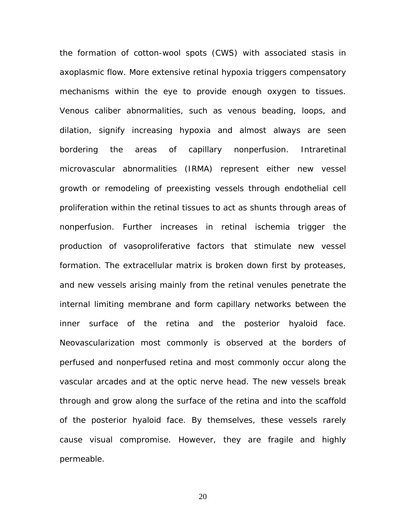the formation of cotton-wool spots (CWS) with associated stasis in axoplasmic flow. More extensive retinal hypoxia triggers compensatory mechanisms within the eye to provide enough oxygen to tissues. Venous caliber abnormalities, such as venous beading, loops, and dilation, signify increasing hypoxia and almost always are seen bordering the areas of capillary nonperfusion. Intraretinal microvascular abnormalities (IRMA) represent either new vessel growth or remodeling of preexisting vessels through endothelial cell proliferation within the retinal tissues to act as shunts through areas of nonperfusion. Further increases in retinal ischemia trigger the production of vasoproliferative factors that stimulate new vessel formation. The extracellular matrix is broken down first by proteases, and new vessels arising mainly from the retinal venules penetrate the internal limiting membrane and form capillary networks between the inner surface of the retina and the posterior hyaloid face. Neovascularization most commonly is observed at the borders of perfused and nonperfused retina and most commonly occur along the vascular arcades and at the optic nerve head. The new vessels break through and grow along the surface of the retina and into the scaffold of the posterior hyaloid face. By themselves, these vessels rarely cause visual compromise. However, they are fragile and highly permeable.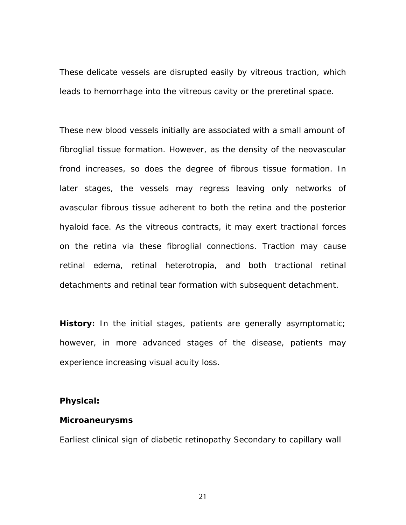These delicate vessels are disrupted easily by vitreous traction, which leads to hemorrhage into the vitreous cavity or the preretinal space.

These new blood vessels initially are associated with a small amount of fibroglial tissue formation. However, as the density of the neovascular frond increases, so does the degree of fibrous tissue formation. In later stages, the vessels may regress leaving only networks of avascular fibrous tissue adherent to both the retina and the posterior hyaloid face. As the vitreous contracts, it may exert tractional forces on the retina via these fibroglial connections. Traction may cause retinal edema, retinal heterotropia, and both tractional retinal detachments and retinal tear formation with subsequent detachment.

**History:** In the initial stages, patients are generally asymptomatic; however, in more advanced stages of the disease, patients may experience increasing visual acuity loss.

#### **Physical:**

#### **Microaneurysms**

Earliest clinical sign of diabetic retinopathy Secondary to capillary wall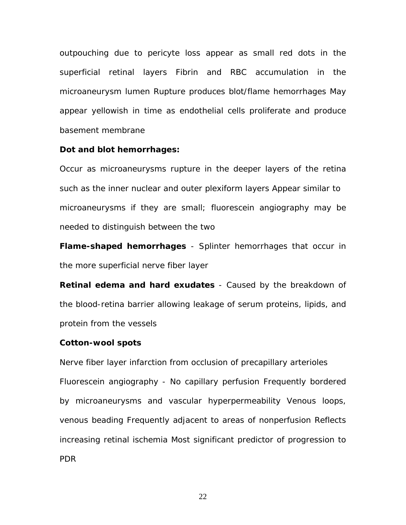outpouching due to pericyte loss appear as small red dots in the superficial retinal layers Fibrin and RBC accumulation in the microaneurysm lumen Rupture produces blot/flame hemorrhages May appear yellowish in time as endothelial cells proliferate and produce basement membrane

#### **Dot and blot hemorrhages:**

Occur as microaneurysms rupture in the deeper layers of the retina such as the inner nuclear and outer plexiform layers Appear similar to microaneurysms if they are small; fluorescein angiography may be needed to distinguish between the two

**Flame-shaped hemorrhages** - Splinter hemorrhages that occur in the more superficial nerve fiber layer

**Retinal edema and hard exudates** - Caused by the breakdown of the blood-retina barrier allowing leakage of serum proteins, lipids, and protein from the vessels

#### **Cotton-wool spots**

Nerve fiber layer infarction from occlusion of precapillary arterioles Fluorescein angiography - No capillary perfusion Frequently bordered by microaneurysms and vascular hyperpermeability Venous loops, venous beading Frequently adjacent to areas of nonperfusion Reflects increasing retinal ischemia Most significant predictor of progression to PDR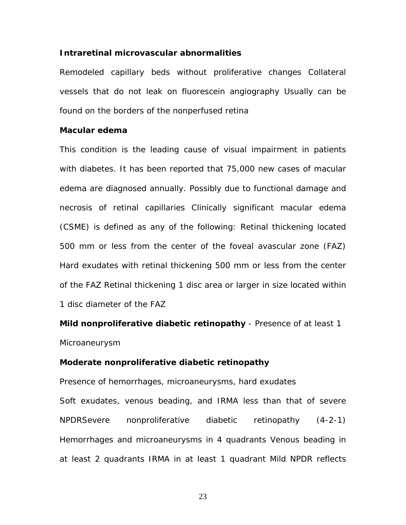#### **Intraretinal microvascular abnormalities**

Remodeled capillary beds without proliferative changes Collateral vessels that do not leak on fluorescein angiography Usually can be found on the borders of the nonperfused retina

#### **Macular edema**

This condition is the leading cause of visual impairment in patients with diabetes. It has been reported that 75,000 new cases of macular edema are diagnosed annually. Possibly due to functional damage and necrosis of retinal capillaries Clinically significant macular edema (CSME) is defined as any of the following: Retinal thickening located 500 mm or less from the center of the foveal avascular zone (FAZ) Hard exudates with retinal thickening 500 mm or less from the center of the FAZ Retinal thickening 1 disc area or larger in size located within 1 disc diameter of the FAZ

**Mild nonproliferative diabetic retinopathy** - Presence of at least 1 Microaneurysm

#### **Moderate nonproliferative diabetic retinopathy**

Presence of hemorrhages, microaneurysms, hard exudates Soft exudates, venous beading, and IRMA less than that of severe NPDRSevere nonproliferative diabetic retinopathy (4-2-1) Hemorrhages and microaneurysms in 4 quadrants Venous beading in at least 2 quadrants IRMA in at least 1 quadrant Mild NPDR reflects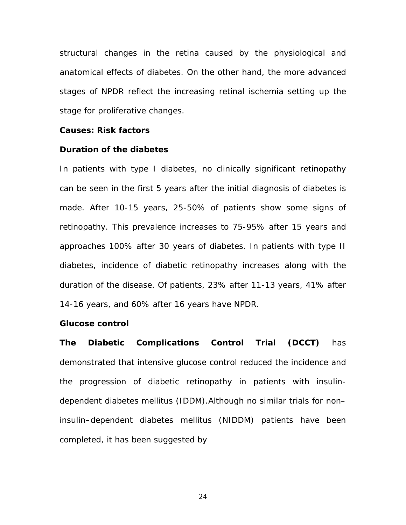structural changes in the retina caused by the physiological and anatomical effects of diabetes. On the other hand, the more advanced stages of NPDR reflect the increasing retinal ischemia setting up the stage for proliferative changes.

#### **Causes: Risk factors**

#### **Duration of the diabetes**

In patients with type I diabetes, no clinically significant retinopathy can be seen in the first 5 years after the initial diagnosis of diabetes is made. After 10-15 years, 25-50% of patients show some signs of retinopathy. This prevalence increases to 75-95% after 15 years and approaches 100% after 30 years of diabetes. In patients with type II diabetes, incidence of diabetic retinopathy increases along with the duration of the disease. Of patients, 23% after 11-13 years, 41% after 14-16 years, and 60% after 16 years have NPDR.

#### **Glucose control**

**The Diabetic Complications Control Trial (DCCT)** has demonstrated that intensive glucose control reduced the incidence and the progression of diabetic retinopathy in patients with insulindependent diabetes mellitus (IDDM).Although no similar trials for non– insulin–dependent diabetes mellitus (NIDDM) patients have been completed, it has been suggested by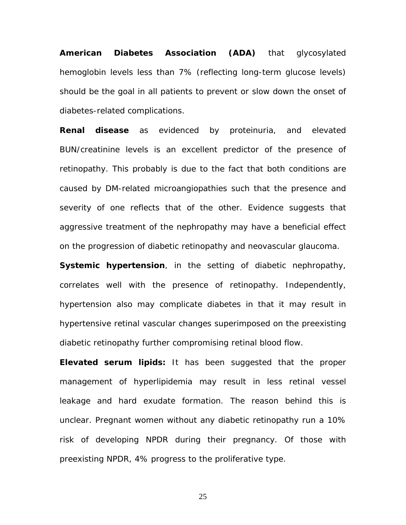**American Diabetes Association (ADA)** that glycosylated hemoglobin levels less than 7% (reflecting long-term glucose levels) should be the goal in all patients to prevent or slow down the onset of diabetes-related complications.

**Renal disease** as evidenced by proteinuria, and elevated BUN/creatinine levels is an excellent predictor of the presence of retinopathy. This probably is due to the fact that both conditions are caused by DM-related microangiopathies such that the presence and severity of one reflects that of the other. Evidence suggests that aggressive treatment of the nephropathy may have a beneficial effect on the progression of diabetic retinopathy and neovascular glaucoma.

**Systemic hypertension**, in the setting of diabetic nephropathy, correlates well with the presence of retinopathy. Independently, hypertension also may complicate diabetes in that it may result in hypertensive retinal vascular changes superimposed on the preexisting diabetic retinopathy further compromising retinal blood flow.

**Elevated serum lipids:** It has been suggested that the proper management of hyperlipidemia may result in less retinal vessel leakage and hard exudate formation. The reason behind this is unclear. Pregnant women without any diabetic retinopathy run a 10% risk of developing NPDR during their pregnancy. Of those with preexisting NPDR, 4% progress to the proliferative type.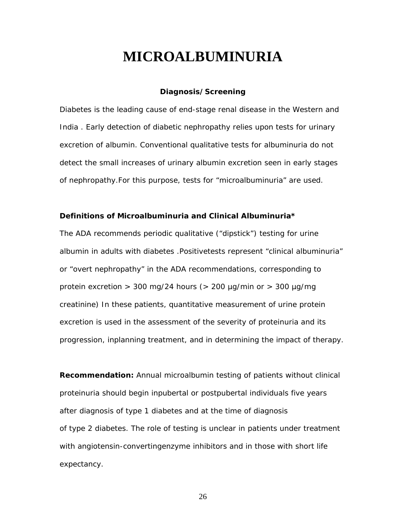### **MICROALBUMINURIA**

#### **Diagnosis/Screening**

Diabetes is the leading cause of end-stage renal disease in the Western and India . Early detection of diabetic nephropathy relies upon tests for urinary excretion of albumin. Conventional qualitative tests for albuminuria do not detect the small increases of urinary albumin excretion seen in early stages of nephropathy.For this purpose, tests for "microalbuminuria" are used.

#### **Definitions of Microalbuminuria and Clinical Albuminuria\***

The ADA recommends periodic qualitative ("dipstick") testing for urine albumin in adults with diabetes .Positivetests represent "clinical albuminuria" or "overt nephropathy" in the ADA recommendations, corresponding to protein excretion  $>$  300 mg/24 hours ( $>$  200 µg/min or  $>$  300 µg/mg creatinine) In these patients, quantitative measurement of urine protein excretion is used in the assessment of the severity of proteinuria and its progression, inplanning treatment, and in determining the impact of therapy.

**Recommendation:** Annual microalbumin testing of patients without clinical proteinuria should begin inpubertal or postpubertal individuals five years after diagnosis of type 1 diabetes and at the time of diagnosis of type 2 diabetes. The role of testing is unclear in patients under treatment with angiotensin-convertingenzyme inhibitors and in those with short life expectancy.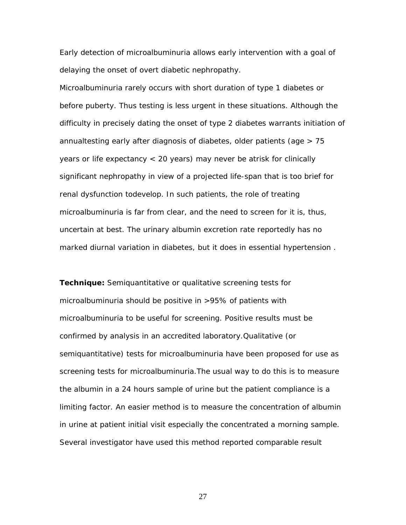Early detection of microalbuminuria allows early intervention with a goal of delaying the onset of overt diabetic nephropathy.

Microalbuminuria rarely occurs with short duration of type 1 diabetes or before puberty. Thus testing is less urgent in these situations. Although the difficulty in precisely dating the onset of type 2 diabetes warrants initiation of annualtesting early after diagnosis of diabetes, older patients (age > 75 years or life expectancy < 20 years) may never be atrisk for clinically significant nephropathy in view of a projected life-span that is too brief for renal dysfunction todevelop. In such patients, the role of treating microalbuminuria is far from clear, and the need to screen for it is, thus, uncertain at best. The urinary albumin excretion rate reportedly has no marked diurnal variation in diabetes, but it does in essential hypertension .

**Technique:** Semiquantitative or qualitative screening tests for microalbuminuria should be positive in >95% of patients with microalbuminuria to be useful for screening. Positive results must be confirmed by analysis in an accredited laboratory.Qualitative (or semiquantitative) tests for microalbuminuria have been proposed for use as screening tests for microalbuminuria.The usual way to do this is to measure the albumin in a 24 hours sample of urine but the patient compliance is a limiting factor. An easier method is to measure the concentration of albumin in urine at patient initial visit especially the concentrated a morning sample. Several investigator have used this method reported comparable result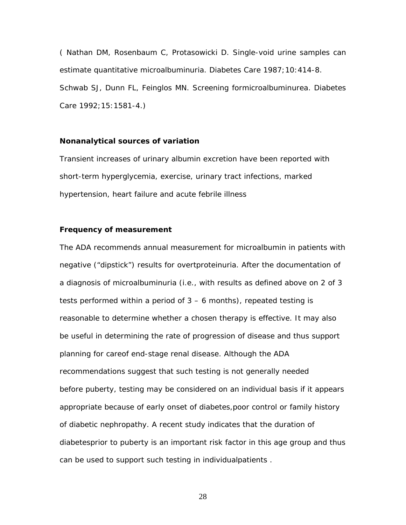( Nathan DM, Rosenbaum C, Protasowicki D. Single-void urine samples can estimate quantitative microalbuminuria. Diabetes Care 1987;10:414-8. Schwab SJ, Dunn FL, Feinglos MN. Screening formicroalbuminurea. Diabetes Care 1992;15:1581-4.)

#### **Nonanalytical sources of variation**

Transient increases of urinary albumin excretion have been reported with short-term hyperglycemia, exercise, urinary tract infections, marked hypertension, heart failure and acute febrile illness

#### **Frequency of measurement**

The ADA recommends annual measurement for microalbumin in patients with negative ("dipstick") results for overtproteinuria. After the documentation of a diagnosis of microalbuminuria (i.e., with results as defined above on 2 of 3 tests performed within a period of 3 – 6 months), repeated testing is reasonable to determine whether a chosen therapy is effective. It may also be useful in determining the rate of progression of disease and thus support planning for careof end-stage renal disease. Although the ADA recommendations suggest that such testing is not generally needed before puberty, testing may be considered on an individual basis if it appears appropriate because of early onset of diabetes,poor control or family history of diabetic nephropathy. A recent study indicates that the duration of diabetesprior to puberty is an important risk factor in this age group and thus can be used to support such testing in individualpatients .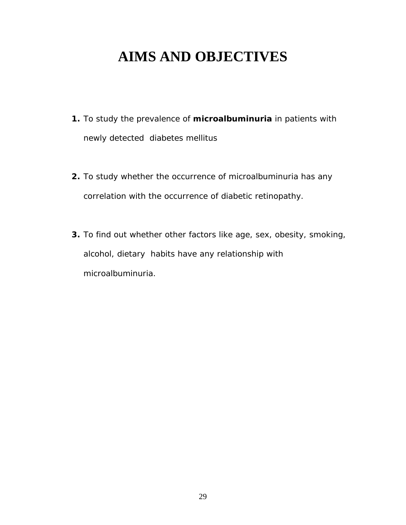# **AIMS AND OBJECTIVES**

- **1.** To study the prevalence of **microalbuminuria** in patients with newly detected diabetes mellitus
- **2.** To study whether the occurrence of microalbuminuria has any correlation with the occurrence of diabetic retinopathy.
- **3.** To find out whether other factors like age, sex, obesity, smoking, alcohol, dietary habits have any relationship with microalbuminuria.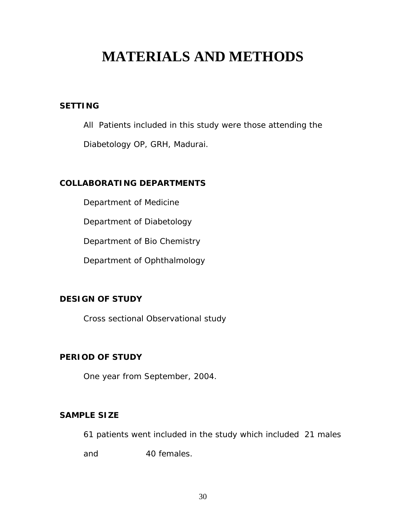# **MATERIALS AND METHODS**

#### **SETTING**

All Patients included in this study were those attending the

Diabetology OP, GRH, Madurai.

#### **COLLABORATING DEPARTMENTS**

Department of Medicine

Department of Diabetology

Department of Bio Chemistry

Department of Ophthalmology

#### **DESIGN OF STUDY**

Cross sectional Observational study

#### **PERIOD OF STUDY**

One year from September, 2004.

#### **SAMPLE SIZE**

61 patients went included in the study which included 21 males

and 40 females.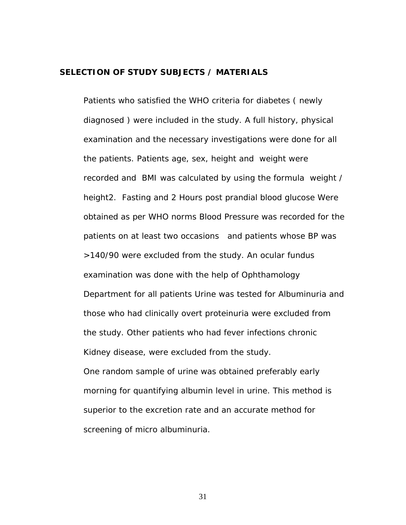#### **SELECTION OF STUDY SUBJECTS / MATERIALS**

Patients who satisfied the WHO criteria for diabetes ( newly diagnosed ) were included in the study. A full history, physical examination and the necessary investigations were done for all the patients. Patients age, sex, height and weight were recorded and BMI was calculated by using the formula weight / height2. Fasting and 2 Hours post prandial blood glucose Were obtained as per WHO norms Blood Pressure was recorded for the patients on at least two occasions and patients whose BP was >140/90 were excluded from the study. An ocular fundus examination was done with the help of Ophthamology Department for all patients Urine was tested for Albuminuria and those who had clinically overt proteinuria were excluded from the study. Other patients who had fever infections chronic Kidney disease, were excluded from the study. One random sample of urine was obtained preferably early morning for quantifying albumin level in urine. This method is superior to the excretion rate and an accurate method for screening of micro albuminuria.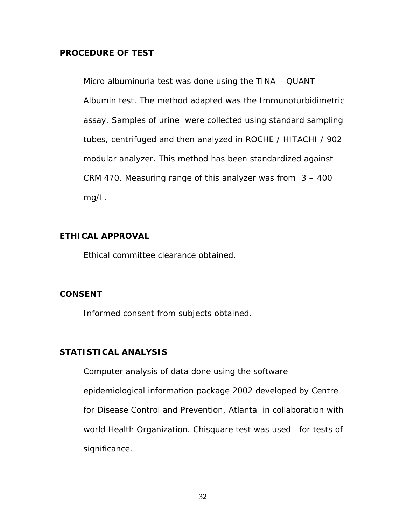#### **PROCEDURE OF TEST**

Micro albuminuria test was done using the TINA – QUANT Albumin test. The method adapted was the Immunoturbidimetric assay. Samples of urine were collected using standard sampling tubes, centrifuged and then analyzed in ROCHE / HITACHI / 902 modular analyzer. This method has been standardized against CRM 470. Measuring range of this analyzer was from 3 – 400 mg/L.

#### **ETHICAL APPROVAL**

Ethical committee clearance obtained.

#### **CONSENT**

Informed consent from subjects obtained.

#### **STATISTICAL ANALYSIS**

Computer analysis of data done using the software epidemiological information package 2002 developed by Centre for Disease Control and Prevention, Atlanta in collaboration with world Health Organization. Chisquare test was used for tests of significance.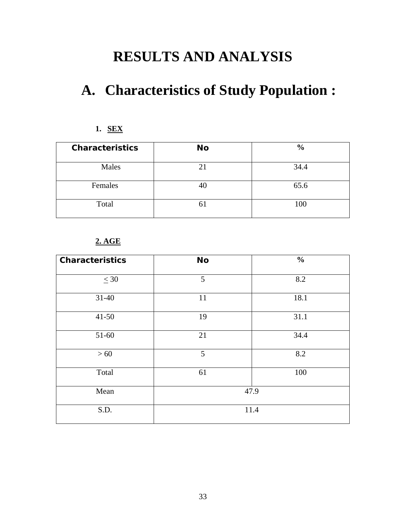# **RESULTS AND ANALYSIS**

# **A. Characteristics of Study Population :**

#### **1. SEX**

| <b>Characteristics</b> | <b>No</b> | $\frac{6}{6}$ |
|------------------------|-----------|---------------|
| Males                  |           | 34.4          |
| Females                | 40        | 65.6          |
| Total                  | O.        | 100           |

#### **2. AGE**

| <b>Characteristics</b> | <b>No</b> | $\frac{0}{0}$ |
|------------------------|-----------|---------------|
| $\leq 30$              | 5         | 8.2           |
| $31 - 40$              | 11        | 18.1          |
| $41 - 50$              | 19        | 31.1          |
| $51 - 60$              | 21        | 34.4          |
| $>60$                  | 5         | 8.2           |
| Total                  | 61        | 100           |
| Mean                   |           | 47.9          |
| S.D.                   |           | 11.4          |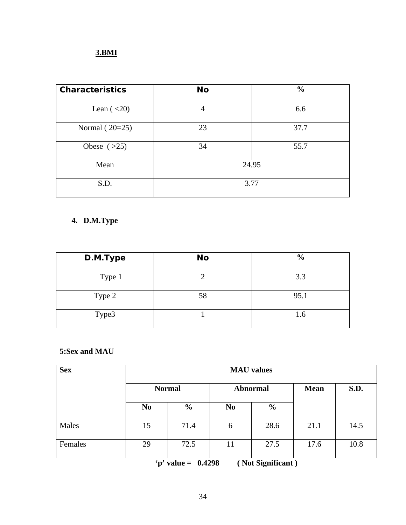#### **3.BMI**

| <b>Characteristics</b> | <b>No</b> | $\frac{0}{0}$ |
|------------------------|-----------|---------------|
| Lean $(20)$            | 4         | 6.6           |
| Normal $(20=25)$       | 23        | 37.7          |
| Obese $(>25)$          | 34        | 55.7          |
| Mean                   | 24.95     |               |
| S.D.                   |           | 3.77          |

### **4. D.M.Type**

| D.M.Type | <b>No</b> | $\frac{6}{9}$ |
|----------|-----------|---------------|
| Type 1   |           | 3.3           |
| Type 2   | 58        | 95.1          |
| Type3    |           | 1.6           |

#### **5:Sex and MAU**

| <b>Sex</b> | <b>MAU</b> values |               |                 |               |      |      |  |
|------------|-------------------|---------------|-----------------|---------------|------|------|--|
|            | <b>Normal</b>     |               | <b>Abnormal</b> | <b>Mean</b>   | S.D. |      |  |
|            | N <sub>0</sub>    | $\frac{0}{0}$ | N <sub>0</sub>  | $\frac{6}{6}$ |      |      |  |
| Males      | 15                | 71.4          | 6               | 28.6          | 21.1 | 14.5 |  |
| Females    | 29                | 72.5          | 11              | 27.5          | 17.6 | 10.8 |  |

 **'p' value = 0.4298 ( Not Significant )**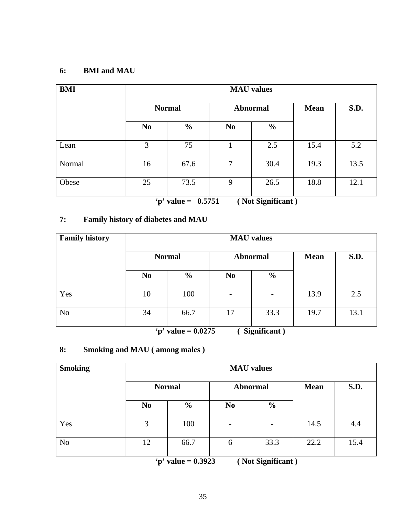#### **6: BMI and MAU**

| <b>BMI</b> |                |               |                | <b>MAU</b> values |      |      |  |
|------------|----------------|---------------|----------------|-------------------|------|------|--|
|            | <b>Normal</b>  |               | <b>Mean</b>    | <b>S.D.</b>       |      |      |  |
|            | N <sub>0</sub> | $\frac{0}{0}$ | N <sub>0</sub> | $\frac{6}{9}$     |      |      |  |
| Lean       | 3              | 75            |                | 2.5               | 15.4 | 5.2  |  |
| Normal     | 16             | 67.6          | 7              | 30.4              | 19.3 | 13.5 |  |
| Obese      | 25             | 73.5          | 9              | 26.5              | 18.8 | 12.1 |  |

 **'p' value = 0.5751 ( Not Significant )** 

#### **7: Family history of diabetes and MAU**

| <b>Family history</b> | <b>MAU</b> values |                 |                              |               |      |      |
|-----------------------|-------------------|-----------------|------------------------------|---------------|------|------|
|                       | <b>Normal</b>     | <b>Abnormal</b> | <b>Mean</b>                  | S.D.          |      |      |
|                       | N <sub>0</sub>    | $\frac{6}{6}$   | N <sub>0</sub>               | $\frac{0}{0}$ |      |      |
| Yes                   | 10                | 100             | $\qquad \qquad \blacksquare$ |               | 13.9 | 2.5  |
| N <sub>o</sub>        | 34                | 66.7            | 17                           | 33.3          | 19.7 | 13.1 |

 **'p' value = 0.0275 ( Significant )** 

#### **8: Smoking and MAU ( among males )**

| <b>Smoking</b> |                | <b>MAU</b> values |                              |                 |      |      |  |  |  |  |
|----------------|----------------|-------------------|------------------------------|-----------------|------|------|--|--|--|--|
|                |                | <b>Normal</b>     |                              | <b>Abnormal</b> |      | S.D. |  |  |  |  |
|                | N <sub>0</sub> | $\frac{6}{6}$     | N <sub>0</sub>               | $\frac{6}{6}$   |      |      |  |  |  |  |
| Yes            | 3              | 100               | $\qquad \qquad \blacksquare$ | -               | 14.5 | 4.4  |  |  |  |  |
| N <sub>o</sub> | 12             | 66.7              | 6                            | 33.3            | 22.2 | 15.4 |  |  |  |  |

 **'p' value = 0.3923 ( Not Significant )**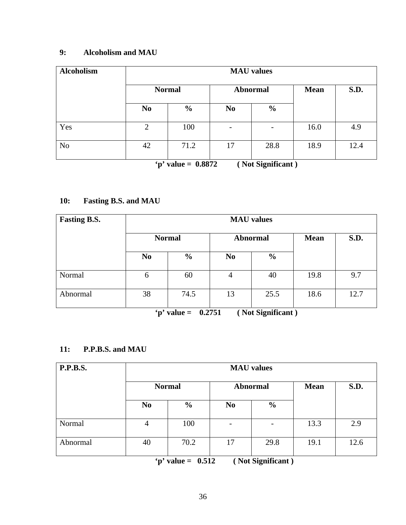#### **9: Alcoholism and MAU**

| <b>Alcoholism</b> | <b>MAU</b> values |               |                              |                          |             |      |  |  |  |
|-------------------|-------------------|---------------|------------------------------|--------------------------|-------------|------|--|--|--|
|                   | <b>Normal</b>     |               | <b>Abnormal</b>              |                          | <b>Mean</b> | S.D. |  |  |  |
|                   | N <sub>0</sub>    | $\frac{6}{9}$ | N <sub>0</sub>               | $\frac{0}{0}$            |             |      |  |  |  |
| Yes               | $\overline{2}$    | 100           | $\qquad \qquad \blacksquare$ | $\overline{\phantom{0}}$ | 16.0        | 4.9  |  |  |  |
| N <sub>o</sub>    | 42                | 71.2          | 17                           | 28.8                     | 18.9        | 12.4 |  |  |  |

 **'p' value = 0.8872 ( Not Significant )** 

#### **10: Fasting B.S. and MAU**

| <b>Fasting B.S.</b> | <b>MAU</b> values |               |                 |               |             |      |  |  |  |
|---------------------|-------------------|---------------|-----------------|---------------|-------------|------|--|--|--|
|                     | <b>Normal</b>     |               | <b>Abnormal</b> |               | <b>Mean</b> | S.D. |  |  |  |
|                     | N <sub>0</sub>    | $\frac{0}{0}$ | N <sub>0</sub>  | $\frac{0}{0}$ |             |      |  |  |  |
| Normal              | 6                 | 60            | 4               | 40            | 19.8        | 9.7  |  |  |  |
| Abnormal            | 38                | 74.5          | 13              | 25.5          | 18.6        | 12.7 |  |  |  |

 **'p' value = 0.2751 ( Not Significant )** 

#### **11: P.P.B.S. and MAU**

| P.P.B.S. |                | <b>MAU</b> values |                |               |      |      |  |  |  |  |
|----------|----------------|-------------------|----------------|---------------|------|------|--|--|--|--|
|          |                | <b>Normal</b>     |                | Abnormal      |      | S.D. |  |  |  |  |
|          | N <sub>0</sub> | $\frac{6}{6}$     | N <sub>0</sub> | $\frac{6}{6}$ |      |      |  |  |  |  |
| Normal   | 4              | 100               |                |               | 13.3 | 2.9  |  |  |  |  |
| Abnormal | 40             | 70.2              | 17             | 29.8          | 19.1 | 12.6 |  |  |  |  |

 **'p' value = 0.512 ( Not Significant )**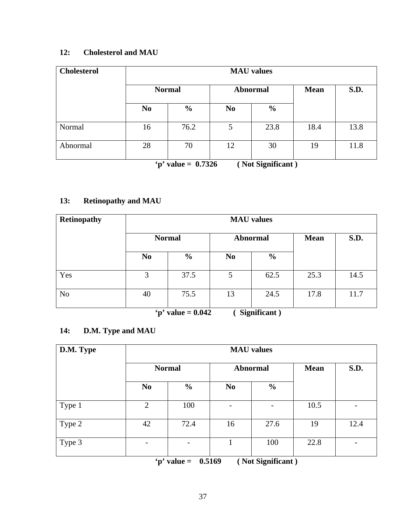#### **12: Cholesterol and MAU**

| <b>Cholesterol</b> | <b>MAU</b> values |               |                |                 |             |      |  |  |  |
|--------------------|-------------------|---------------|----------------|-----------------|-------------|------|--|--|--|
|                    | <b>Normal</b>     |               |                | <b>Abnormal</b> | <b>Mean</b> | S.D. |  |  |  |
|                    | N <sub>0</sub>    | $\frac{6}{6}$ | N <sub>0</sub> | $\frac{6}{9}$   |             |      |  |  |  |
| Normal             | 16                | 76.2          | 5              | 23.8            | 18.4        | 13.8 |  |  |  |
| Abnormal           | 28                | 70            | 12             | 30              | 19          | 11.8 |  |  |  |

 **'p' value = 0.7326 ( Not Significant )** 

#### **13: Retinopathy and MAU**

| Retinopathy    | <b>MAU</b> values |               |                 |               |             |      |  |  |  |
|----------------|-------------------|---------------|-----------------|---------------|-------------|------|--|--|--|
|                | <b>Normal</b>     |               | <b>Abnormal</b> |               | <b>Mean</b> | S.D. |  |  |  |
|                | N <sub>0</sub>    | $\frac{6}{6}$ | N <sub>0</sub>  | $\frac{0}{0}$ |             |      |  |  |  |
| Yes            | 3                 | 37.5          | 5               | 62.5          | 25.3        | 14.5 |  |  |  |
| N <sub>o</sub> | 40                | 75.5          | 13              | 24.5          | 17.8        | 11.7 |  |  |  |

 **'p' value = 0.042 ( Significant )** 

#### **14: D.M. Type and MAU**

| D.M. Type | <b>MAU</b> values |                                                     |                       |               |                |      |  |  |  |
|-----------|-------------------|-----------------------------------------------------|-----------------------|---------------|----------------|------|--|--|--|
|           | <b>Normal</b>     |                                                     | Abnormal              |               | <b>Mean</b>    | S.D. |  |  |  |
|           | N <sub>0</sub>    | $\frac{0}{0}$                                       | N <sub>0</sub>        | $\frac{6}{9}$ |                |      |  |  |  |
| Type 1    | $\overline{2}$    | 100                                                 |                       | -             | 10.5           |      |  |  |  |
| Type 2    | 42                | 72.4                                                | 16                    | 27.6          | 19             | 12.4 |  |  |  |
| Type 3    |                   | $\overline{\phantom{a}}$<br>$\lambda$ and $\lambda$ | $A = 1$<br>$\sqrt{N}$ | 100<br>• • •  | 22.8<br>$\sim$ |      |  |  |  |

 **'p' value = 0.5169 ( Not Significant )**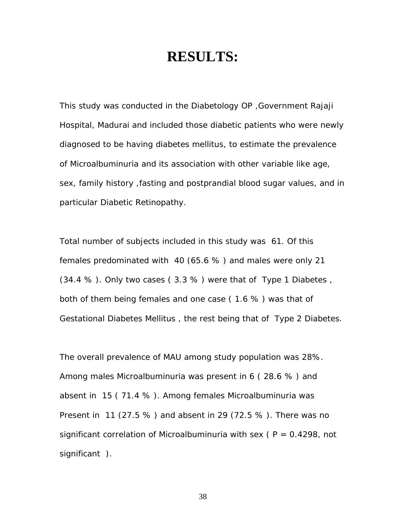### **RESULTS:**

This study was conducted in the Diabetology OP ,Government Rajaji Hospital, Madurai and included those diabetic patients who were newly diagnosed to be having diabetes mellitus, to estimate the prevalence of Microalbuminuria and its association with other variable like age, sex, family history ,fasting and postprandial blood sugar values, and in particular Diabetic Retinopathy.

Total number of subjects included in this study was 61. Of this females predominated with 40 (65.6 % ) and males were only 21 (34.4 % ). Only two cases ( 3.3 % ) were that of Type 1 Diabetes , both of them being females and one case ( 1.6 % ) was that of Gestational Diabetes Mellitus , the rest being that of Type 2 Diabetes.

The overall prevalence of MAU among study population was 28%. Among males Microalbuminuria was present in 6 ( 28.6 % ) and absent in 15 ( 71.4 % ). Among females Microalbuminuria was Present in 11 (27.5 % ) and absent in 29 (72.5 % ). There was no significant correlation of Microalbuminuria with sex ( $P = 0.4298$ , not significant ).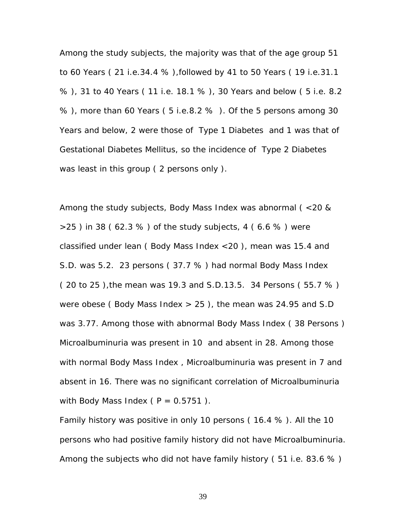Among the study subjects, the majority was that of the age group 51 to 60 Years ( 21 i.e.34.4 % ),followed by 41 to 50 Years ( 19 i.e.31.1 % ), 31 to 40 Years ( 11 i.e. 18.1 % ), 30 Years and below ( 5 i.e. 8.2 % ), more than 60 Years ( 5 i.e.8.2 % ). Of the 5 persons among 30 Years and below, 2 were those of Type 1 Diabetes and 1 was that of Gestational Diabetes Mellitus, so the incidence of Type 2 Diabetes was least in this group ( 2 persons only ).

Among the study subjects, Body Mass Index was abnormal ( <20 &  $>25$ ) in 38 (62.3 %) of the study subjects, 4 (6.6 %) were classified under lean ( Body Mass Index <20 ), mean was 15.4 and S.D. was 5.2. 23 persons ( 37.7 % ) had normal Body Mass Index ( 20 to 25 ),the mean was 19.3 and S.D.13.5. 34 Persons ( 55.7 % ) were obese (Body Mass Index  $> 25$ ), the mean was 24.95 and S.D was 3.77. Among those with abnormal Body Mass Index ( 38 Persons ) Microalbuminuria was present in 10 and absent in 28. Among those with normal Body Mass Index , Microalbuminuria was present in 7 and absent in 16. There was no significant correlation of Microalbuminuria with Body Mass Index ( $P = 0.5751$ ).

Family history was positive in only 10 persons ( 16.4 % ). All the 10 persons who had positive family history did not have Microalbuminuria. Among the subjects who did not have family history (51 i.e. 83.6 %)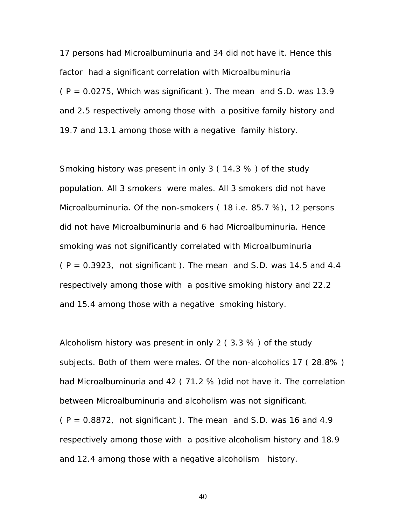17 persons had Microalbuminuria and 34 did not have it. Hence this factor had a significant correlation with Microalbuminuria  $(P = 0.0275$ , Which was significant). The mean and S.D. was 13.9 and 2.5 respectively among those with a positive family history and 19.7 and 13.1 among those with a negative family history.

Smoking history was present in only 3 ( 14.3 % ) of the study population. All 3 smokers were males. All 3 smokers did not have Microalbuminuria. Of the non-smokers ( 18 i.e. 85.7 %), 12 persons did not have Microalbuminuria and 6 had Microalbuminuria. Hence smoking was not significantly correlated with Microalbuminuria  $(P = 0.3923$ , not significant ). The mean and S.D. was 14.5 and 4.4 respectively among those with a positive smoking history and 22.2 and 15.4 among those with a negative smoking history.

Alcoholism history was present in only 2 ( 3.3 % ) of the study subjects. Both of them were males. Of the non-alcoholics 17 ( 28.8% ) had Microalbuminuria and 42 (71.2 %) did not have it. The correlation between Microalbuminuria and alcoholism was not significant.  $(P = 0.8872$ , not significant ). The mean and S.D. was 16 and 4.9 respectively among those with a positive alcoholism history and 18.9

and 12.4 among those with a negative alcoholism history.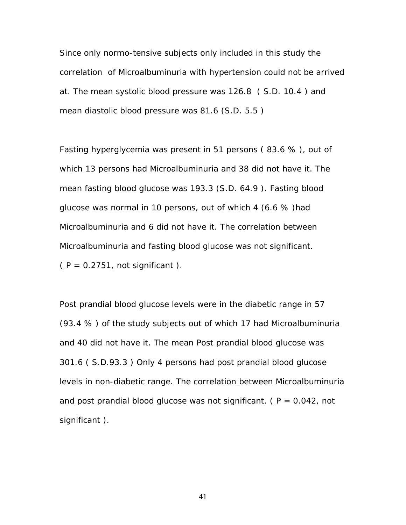Since only normo-tensive subjects only included in this study the correlation of Microalbuminuria with hypertension could not be arrived at. The mean systolic blood pressure was 126.8 ( S.D. 10.4 ) and mean diastolic blood pressure was 81.6 (S.D. 5.5 )

Fasting hyperglycemia was present in 51 persons ( 83.6 % ), out of which 13 persons had Microalbuminuria and 38 did not have it. The mean fasting blood glucose was 193.3 (S.D. 64.9 ). Fasting blood glucose was normal in 10 persons, out of which 4 (6.6 % )had Microalbuminuria and 6 did not have it. The correlation between Microalbuminuria and fasting blood glucose was not significant.  $(P = 0.2751, not significant).$ 

Post prandial blood glucose levels were in the diabetic range in 57 (93.4 % ) of the study subjects out of which 17 had Microalbuminuria and 40 did not have it. The mean Post prandial blood glucose was 301.6 ( S.D.93.3 ) Only 4 persons had post prandial blood glucose levels in non-diabetic range. The correlation between Microalbuminuria and post prandial blood glucose was not significant. ( $P = 0.042$ , not significant ).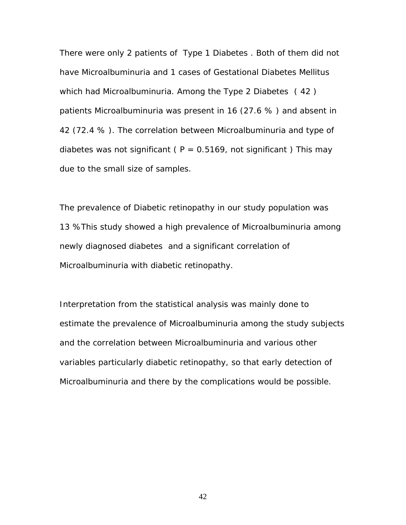There were only 2 patients of Type 1 Diabetes . Both of them did not have Microalbuminuria and 1 cases of Gestational Diabetes Mellitus which had Microalbuminuria. Among the Type 2 Diabetes ( 42 ) patients Microalbuminuria was present in 16 (27.6 % ) and absent in 42 (72.4 % ). The correlation between Microalbuminuria and type of diabetes was not significant ( $P = 0.5169$ , not significant) This may due to the small size of samples.

The prevalence of Diabetic retinopathy in our study population was 13 %This study showed a high prevalence of Microalbuminuria among newly diagnosed diabetes and a significant correlation of Microalbuminuria with diabetic retinopathy.

Interpretation from the statistical analysis was mainly done to estimate the prevalence of Microalbuminuria among the study subjects and the correlation between Microalbuminuria and various other variables particularly diabetic retinopathy, so that early detection of Microalbuminuria and there by the complications would be possible.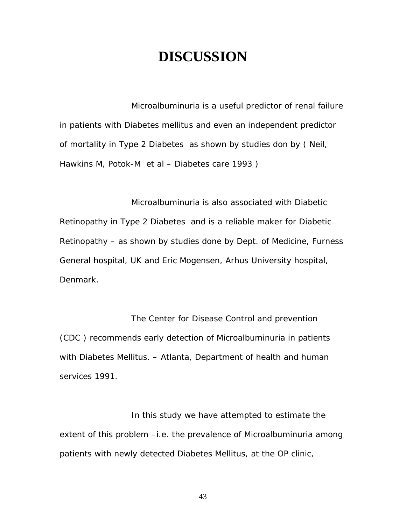### **DISCUSSION**

Microalbuminuria is a useful predictor of renal failure in patients with Diabetes mellitus and even an independent predictor of mortality in Type 2 Diabetes as shown by studies don by ( Neil, Hawkins M, Potok-M et al – Diabetes care 1993 )

Microalbuminuria is also associated with Diabetic Retinopathy in Type 2 Diabetes and is a reliable maker for Diabetic Retinopathy – as shown by studies done by Dept. of Medicine, Furness General hospital, UK and Eric Mogensen, Arhus University hospital, Denmark.

The Center for Disease Control and prevention (CDC ) recommends early detection of Microalbuminuria in patients with Diabetes Mellitus. – Atlanta, Department of health and human services 1991.

In this study we have attempted to estimate the extent of this problem -i.e. the prevalence of Microalbuminuria among patients with newly detected Diabetes Mellitus, at the OP clinic,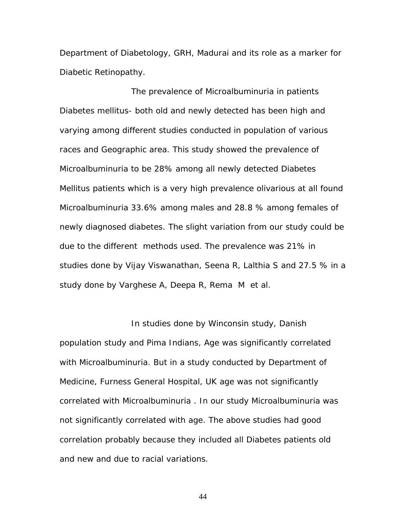Department of Diabetology, GRH, Madurai and its role as a marker for Diabetic Retinopathy.

The prevalence of Microalbuminuria in patients Diabetes mellitus- both old and newly detected has been high and varying among different studies conducted in population of various races and Geographic area. This study showed the prevalence of Microalbuminuria to be 28% among all newly detected Diabetes Mellitus patients which is a very high prevalence olivarious at all found Microalbuminuria 33.6% among males and 28.8 % among females of newly diagnosed diabetes. The slight variation from our study could be due to the different methods used. The prevalence was 21% in studies done by Vijay Viswanathan, Seena R, Lalthia S and 27.5 % in a study done by Varghese A, Deepa R, Rema M et al.

In studies done by Winconsin study, Danish population study and Pima Indians, Age was significantly correlated with Microalbuminuria. But in a study conducted by Department of Medicine, Furness General Hospital, UK age was not significantly correlated with Microalbuminuria . In our study Microalbuminuria was not significantly correlated with age. The above studies had good correlation probably because they included all Diabetes patients old and new and due to racial variations.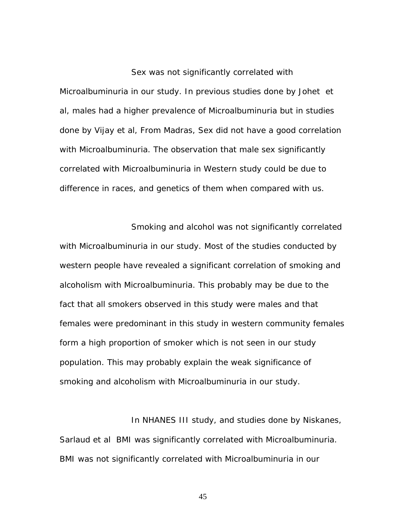#### Sex was not significantly correlated with

Microalbuminuria in our study. In previous studies done by Johet et al, males had a higher prevalence of Microalbuminuria but in studies done by Vijay et al, From Madras, Sex did not have a good correlation with Microalbuminuria. The observation that male sex significantly correlated with Microalbuminuria in Western study could be due to difference in races, and genetics of them when compared with us.

Smoking and alcohol was not significantly correlated with Microalbuminuria in our study. Most of the studies conducted by western people have revealed a significant correlation of smoking and alcoholism with Microalbuminuria. This probably may be due to the fact that all smokers observed in this study were males and that females were predominant in this study in western community females form a high proportion of smoker which is not seen in our study population. This may probably explain the weak significance of smoking and alcoholism with Microalbuminuria in our study.

In NHANES III study, and studies done by Niskanes, Sarlaud et al BMI was significantly correlated with Microalbuminuria. BMI was not significantly correlated with Microalbuminuria in our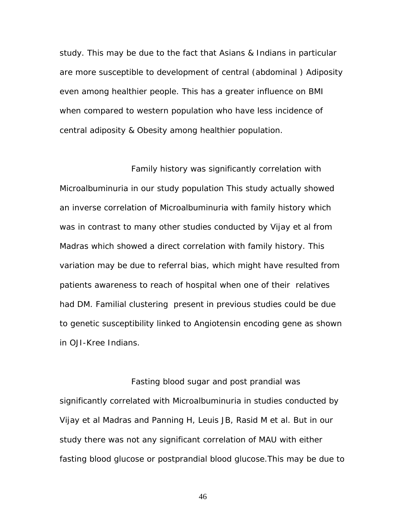study. This may be due to the fact that Asians & Indians in particular are more susceptible to development of central (abdominal ) Adiposity even among healthier people. This has a greater influence on BMI when compared to western population who have less incidence of central adiposity & Obesity among healthier population.

Family history was significantly correlation with Microalbuminuria in our study population This study actually showed an inverse correlation of Microalbuminuria with family history which was in contrast to many other studies conducted by Vijay et al from Madras which showed a direct correlation with family history. This variation may be due to referral bias, which might have resulted from patients awareness to reach of hospital when one of their relatives had DM. Familial clustering present in previous studies could be due to genetic susceptibility linked to Angiotensin encoding gene as shown in OJI-Kree Indians.

Fasting blood sugar and post prandial was significantly correlated with Microalbuminuria in studies conducted by Vijay et al Madras and Panning H, Leuis JB, Rasid M et al. But in our study there was not any significant correlation of MAU with either fasting blood glucose or postprandial blood glucose.This may be due to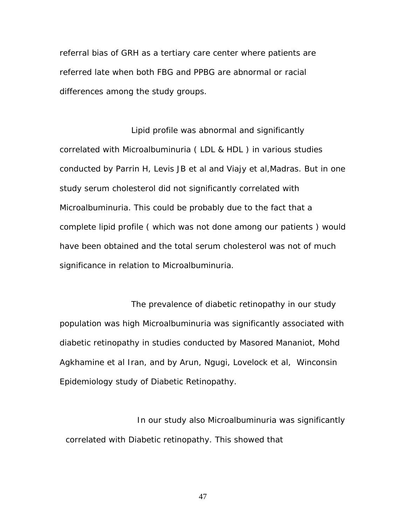referral bias of GRH as a tertiary care center where patients are referred late when both FBG and PPBG are abnormal or racial differences among the study groups.

Lipid profile was abnormal and significantly correlated with Microalbuminuria ( LDL & HDL ) in various studies conducted by Parrin H, Levis JB et al and Viajy et al,Madras. But in one study serum cholesterol did not significantly correlated with Microalbuminuria. This could be probably due to the fact that a complete lipid profile ( which was not done among our patients ) would have been obtained and the total serum cholesterol was not of much significance in relation to Microalbuminuria.

The prevalence of diabetic retinopathy in our study population was high Microalbuminuria was significantly associated with diabetic retinopathy in studies conducted by Masored Mananiot, Mohd Agkhamine et al Iran, and by Arun, Ngugi, Lovelock et al, Winconsin Epidemiology study of Diabetic Retinopathy.

In our study also Microalbuminuria was significantly correlated with Diabetic retinopathy. This showed that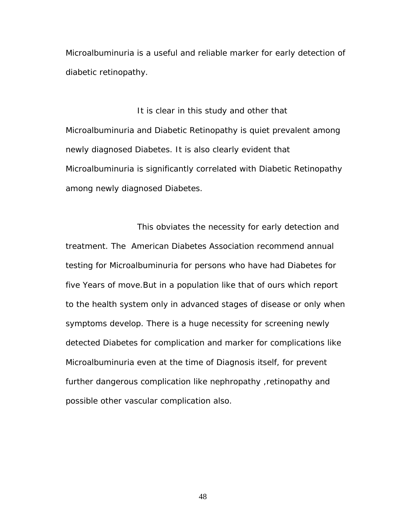Microalbuminuria is a useful and reliable marker for early detection of diabetic retinopathy.

It is clear in this study and other that Microalbuminuria and Diabetic Retinopathy is quiet prevalent among newly diagnosed Diabetes. It is also clearly evident that Microalbuminuria is significantly correlated with Diabetic Retinopathy among newly diagnosed Diabetes.

This obviates the necessity for early detection and treatment. The American Diabetes Association recommend annual testing for Microalbuminuria for persons who have had Diabetes for five Years of move.But in a population like that of ours which report to the health system only in advanced stages of disease or only when symptoms develop. There is a huge necessity for screening newly detected Diabetes for complication and marker for complications like Microalbuminuria even at the time of Diagnosis itself, for prevent further dangerous complication like nephropathy ,retinopathy and possible other vascular complication also.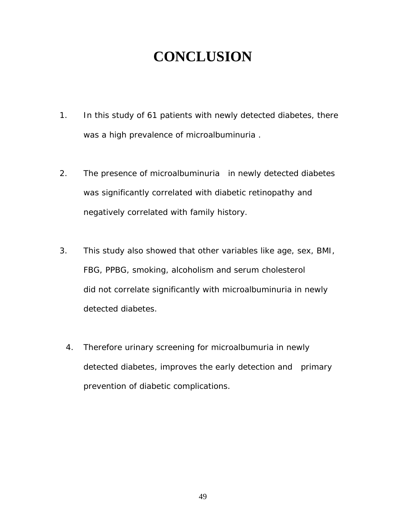## **CONCLUSION**

- 1. In this study of 61 patients with newly detected diabetes, there was a high prevalence of microalbuminuria .
- 2. The presence of microalbuminuria in newly detected diabetes was significantly correlated with diabetic retinopathy and negatively correlated with family history.
- 3. This study also showed that other variables like age, sex, BMI, FBG, PPBG, smoking, alcoholism and serum cholesterol did not correlate significantly with microalbuminuria in newly detected diabetes.
	- 4. Therefore urinary screening for microalbumuria in newly detected diabetes, improves the early detection and primary prevention of diabetic complications.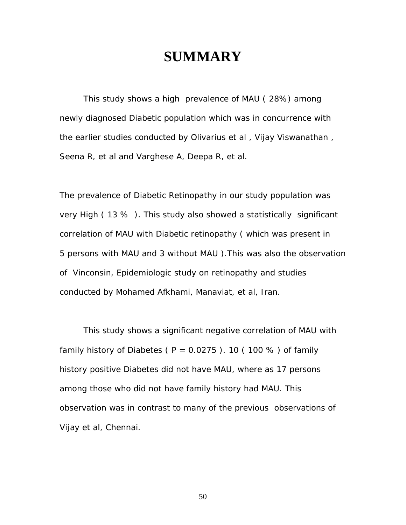### **SUMMARY**

 This study shows a high prevalence of MAU ( 28%) among newly diagnosed Diabetic population which was in concurrence with the earlier studies conducted by Olivarius et al , Vijay Viswanathan , Seena R, et al and Varghese A, Deepa R, et al.

The prevalence of Diabetic Retinopathy in our study population was very High ( 13 % ). This study also showed a statistically significant correlation of MAU with Diabetic retinopathy ( which was present in 5 persons with MAU and 3 without MAU ).This was also the observation of Vinconsin, Epidemiologic study on retinopathy and studies conducted by Mohamed Afkhami, Manaviat, et al, Iran.

 This study shows a significant negative correlation of MAU with family history of Diabetes ( $P = 0.0275$ ). 10 (100 %) of family history positive Diabetes did not have MAU, where as 17 persons among those who did not have family history had MAU. This observation was in contrast to many of the previous observations of Vijay et al, Chennai.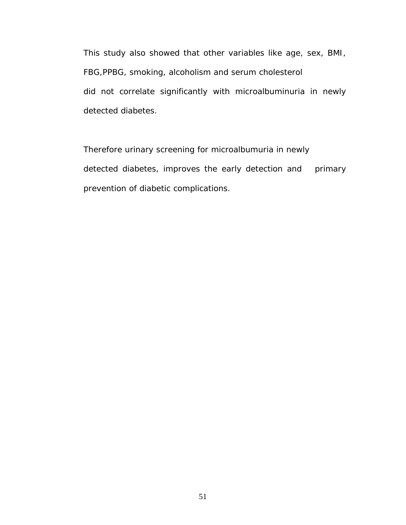This study also showed that other variables like age, sex, BMI, FBG,PPBG, smoking, alcoholism and serum cholesterol did not correlate significantly with microalbuminuria in newly detected diabetes.

Therefore urinary screening for microalbumuria in newly detected diabetes, improves the early detection and primary prevention of diabetic complications.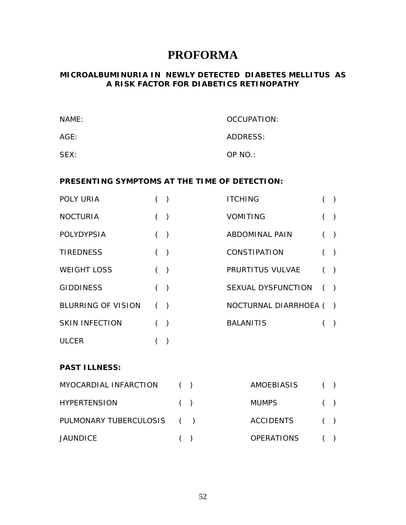### **PROFORMA**

#### **MICROALBUMINURIA IN NEWLY DETECTED DIABETES MELLITUS AS A RISK FACTOR FOR DIABETICS RETINOPATHY**

| NAME: | OCCUPATION: |
|-------|-------------|
| AGE:  | ADDRESS:    |
| SEX:  | OP NO.:     |

#### **PRESENTING SYMPTOMS AT THE TIME OF DETECTION:**

| POLY URIA                 |     | $\rightarrow$ | <b>ITCHING</b>         |     |  |
|---------------------------|-----|---------------|------------------------|-----|--|
| <b>NOCTURIA</b>           | ( ) |               | <b>VOMITING</b>        |     |  |
| <b>POLYDYPSIA</b>         |     | $\rightarrow$ | <b>ABDOMINAL PAIN</b>  | ( ) |  |
| <b>TIREDNESS</b>          | ( ) |               | <b>CONSTIPATION</b>    |     |  |
| <b>WEIGHT LOSS</b>        | ( ) |               | PRURTITUS VULVAE       | ( ) |  |
| <b>GIDDINESS</b>          |     | $\big)$       | SEXUAL DYSFUNCTION     |     |  |
| <b>BLURRING OF VISION</b> |     | $\rightarrow$ | NOCTURNAL DIARRHOEA () |     |  |
| <b>SKIN INFECTION</b>     | ( ) |               | <b>BALANITIS</b>       |     |  |
| <b>ULCER</b>              |     |               |                        |     |  |

#### **PAST ILLNESS:**

| MYOCARDIAL INFARCTION      | ( | AMOEBIASIS   | (   |
|----------------------------|---|--------------|-----|
| <b>HYPERTENSION</b>        | ( | <b>MUMPS</b> | (   |
| PULMONARY TUBERCULOSIS ( ) |   | ACCIDENTS    | ( ) |
| <b>JAUNDICE</b>            | ( | OPERATIONS   | (   |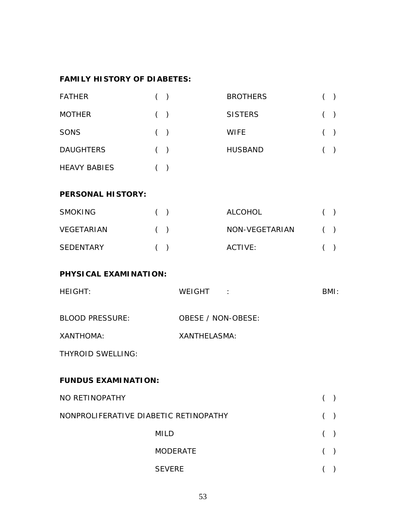#### **FAMILY HISTORY OF DIABETES:**

| <b>FATHER</b>       | $($ ) | <b>BROTHERS</b> |       |  |
|---------------------|-------|-----------------|-------|--|
| <b>MOTHER</b>       | (     | <b>SISTERS</b>  | (     |  |
| SONS                | $($ ) | <b>WIFE</b>     | $($ ) |  |
| <b>DAUGHTERS</b>    | $($ ) | <b>HUSBAND</b>  |       |  |
| <b>HEAVY BABIES</b> |       |                 |       |  |

#### **PERSONAL HISTORY:**

| <b>SMOKING</b>    | ( | ALCOHOL        |   |
|-------------------|---|----------------|---|
| <b>VEGETARIAN</b> | ( | NON-VEGETARIAN | ( |
| <b>SEDENTARY</b>  | ( | ACTIVE:        | ( |

#### **PHYSICAL EXAMINATION:**

| <b>HEIGHT:</b>                        | WEIGHT:                   | BMI: |  |  |  |  |  |  |  |
|---------------------------------------|---------------------------|------|--|--|--|--|--|--|--|
| <b>BLOOD PRESSURE:</b>                | <b>OBESE / NON-OBESE:</b> |      |  |  |  |  |  |  |  |
| XANTHOMA:                             | <b>XANTHELASMA:</b>       |      |  |  |  |  |  |  |  |
| <b>THYROID SWELLING:</b>              |                           |      |  |  |  |  |  |  |  |
| <b>FUNDUS EXAMINATION:</b>            |                           |      |  |  |  |  |  |  |  |
| NO RETINOPATHY                        |                           |      |  |  |  |  |  |  |  |
| NONPROLIFERATIVE DIABETIC RETINOPATHY |                           |      |  |  |  |  |  |  |  |
| <b>MILD</b>                           |                           |      |  |  |  |  |  |  |  |
|                                       | <b>MODERATE</b>           |      |  |  |  |  |  |  |  |

SEVERE ( )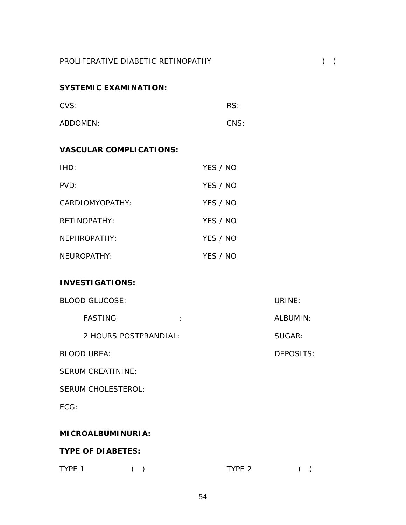#### **SYSTEMIC EXAMINATION:**

| CVS:     | RS:  |
|----------|------|
| ABDOMEN: | CNS: |

#### **VASCULAR COMPLICATIONS:**

| IHD:            | YFS / NO |
|-----------------|----------|
| PVD:            | YES / NO |
| CARDIOMYOPATHY: | YES / NO |
| RETINOPATHY:    | YES / NO |
| NFPHROPATHY:    | YFS / NO |
| NEUROPATHY:     | YES / NO |

#### **INVESTIGATIONS:**

| <b>BLOOD GLUCOSE:</b>                  | URINE:           |  |  |  |  |  |  |  |
|----------------------------------------|------------------|--|--|--|--|--|--|--|
| <b>FASTING</b><br>$\ddot{\phantom{a}}$ | ALBUMIN:         |  |  |  |  |  |  |  |
| 2 HOURS POSTPRANDIAL:                  | SUGAR:           |  |  |  |  |  |  |  |
| <b>BLOOD UREA:</b>                     | <b>DEPOSITS:</b> |  |  |  |  |  |  |  |
| <b>SERUM CREATININE:</b>               |                  |  |  |  |  |  |  |  |
| <b>SERUM CHOLESTEROL:</b>              |                  |  |  |  |  |  |  |  |
| ECG:                                   |                  |  |  |  |  |  |  |  |
|                                        |                  |  |  |  |  |  |  |  |
| <b>MICROALBUMINURIA:</b>               |                  |  |  |  |  |  |  |  |
| <b>TYPE OF DIABETES:</b>               |                  |  |  |  |  |  |  |  |

### TYPE 1 ( ) TYPE 2 ( )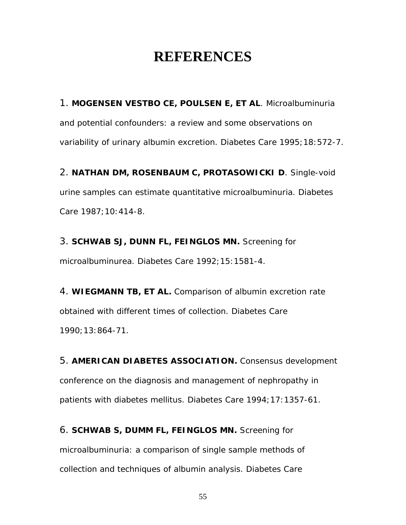### **REFERENCES**

1. **MOGENSEN VESTBO CE, POULSEN E, ET AL**. Microalbuminuria and potential confounders: a review and some observations on variability of urinary albumin excretion. Diabetes Care 1995;18:572-7.

2. **NATHAN DM, ROSENBAUM C, PROTASOWICKI D**. Single-void urine samples can estimate quantitative microalbuminuria. Diabetes Care 1987;10:414-8.

3. **SCHWAB SJ, DUNN FL, FEINGLOS MN.** Screening for microalbuminurea. Diabetes Care 1992;15:1581-4.

4. **WIEGMANN TB, ET AL.** Comparison of albumin excretion rate obtained with different times of collection. Diabetes Care 1990;13:864-71.

5. **AMERICAN DIABETES ASSOCIATION.** Consensus development conference on the diagnosis and management of nephropathy in patients with diabetes mellitus. Diabetes Care 1994;17:1357-61.

6. **SCHWAB S, DUMM FL, FEINGLOS MN.** Screening for microalbuminuria: a comparison of single sample methods of collection and techniques of albumin analysis. Diabetes Care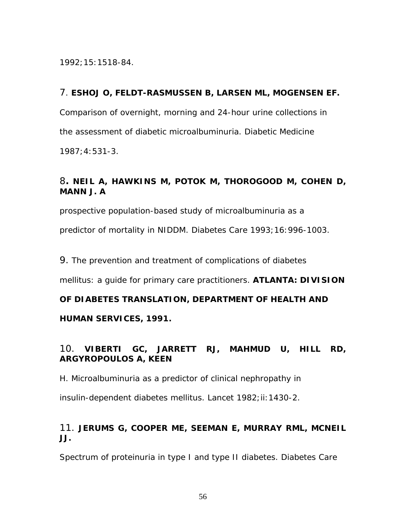1992;15:1518-84.

#### 7. **ESHOJ O, FELDT-RASMUSSEN B, LARSEN ML, MOGENSEN EF.**

Comparison of overnight, morning and 24-hour urine collections in

the assessment of diabetic microalbuminuria. Diabetic Medicine

1987;4:531-3.

#### 8**. NEIL A, HAWKINS M, POTOK M, THOROGOOD M, COHEN D, MANN J. A**

prospective population-based study of microalbuminuria as a

predictor of mortality in NIDDM. Diabetes Care 1993;16:996-1003.

9. The prevention and treatment of complications of diabetes

mellitus: a guide for primary care practitioners. **ATLANTA: DIVISION** 

#### **OF DIABETES TRANSLATION, DEPARTMENT OF HEALTH AND**

**HUMAN SERVICES, 1991.** 

#### 10. **VIBERTI GC, JARRETT RJ, MAHMUD U, HILL RD, ARGYROPOULOS A, KEEN**

H. Microalbuminuria as a predictor of clinical nephropathy in

insulin-dependent diabetes mellitus. Lancet 1982; ii: 1430-2.

#### 11. **JERUMS G, COOPER ME, SEEMAN E, MURRAY RML, MCNEIL JJ.**

Spectrum of proteinuria in type I and type II diabetes. Diabetes Care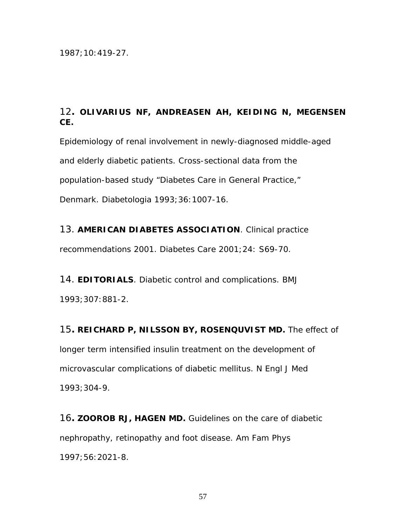1987;10:419-27.

#### 12**. OLIVARIUS NF, ANDREASEN AH, KEIDING N, MEGENSEN CE.**

Epidemiology of renal involvement in newly-diagnosed middle-aged and elderly diabetic patients. Cross-sectional data from the population-based study "Diabetes Care in General Practice," Denmark. Diabetologia 1993;36:1007-16.

13. **AMERICAN DIABETES ASSOCIATION**. Clinical practice

recommendations 2001. Diabetes Care 2001;24: S69-70.

14. **EDITORIALS**. Diabetic control and complications. BMJ 1993;307:881-2.

15**. REICHARD P, NILSSON BY, ROSENQUVIST MD.** The effect of longer term intensified insulin treatment on the development of microvascular complications of diabetic mellitus. N Engl J Med 1993;304-9.

16**. ZOOROB RJ, HAGEN MD.** Guidelines on the care of diabetic nephropathy, retinopathy and foot disease. Am Fam Phys 1997;56:2021-8.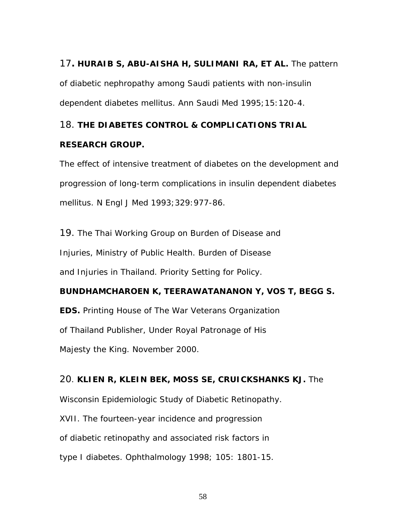# 17**. HURAIB S, ABU-AISHA H, SULIMANI RA, ET AL.** The pattern of diabetic nephropathy among Saudi patients with non-insulin

dependent diabetes mellitus. Ann Saudi Med 1995;15:120-4.

#### 18. **THE DIABETES CONTROL & COMPLICATIONS TRIAL**

#### **RESEARCH GROUP.**

The effect of intensive treatment of diabetes on the development and progression of long-term complications in insulin dependent diabetes mellitus. N Engl J Med 1993;329:977-86.

19. The Thai Working Group on Burden of Disease and Injuries, Ministry of Public Health. Burden of Disease and Injuries in Thailand. Priority Setting for Policy.

#### **BUNDHAMCHAROEN K, TEERAWATANANON Y, VOS T, BEGG S.**

**EDS.** Printing House of The War Veterans Organization of Thailand Publisher, Under Royal Patronage of His Majesty the King. November 2000.

#### 20. **KLIEN R, KLEIN BEK, MOSS SE, CRUICKSHANKS KJ.** The

Wisconsin Epidemiologic Study of Diabetic Retinopathy.

XVII. The fourteen-year incidence and progression

of diabetic retinopathy and associated risk factors in

type I diabetes. Ophthalmology 1998; 105: 1801-15.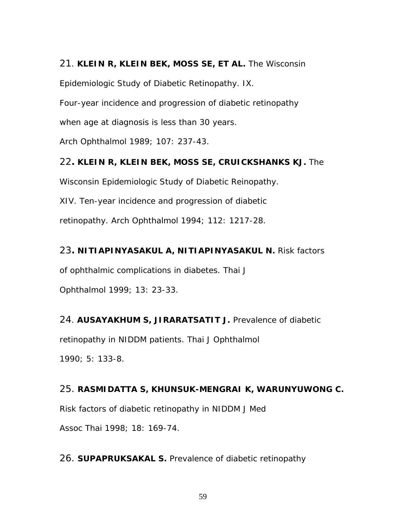#### 21. **KLEIN R, KLEIN BEK, MOSS SE, ET AL.** The Wisconsin

Epidemiologic Study of Diabetic Retinopathy. IX.

Four-year incidence and progression of diabetic retinopathy

when age at diagnosis is less than 30 years.

Arch Ophthalmol 1989; 107: 237-43.

22**. KLEIN R, KLEIN BEK, MOSS SE, CRUICKSHANKS KJ.** The

Wisconsin Epidemiologic Study of Diabetic Reinopathy.

XIV. Ten-year incidence and progression of diabetic

retinopathy. Arch Ophthalmol 1994; 112: 1217-28.

23**. NITIAPINYASAKUL A, NITIAPINYASAKUL N.** Risk factors

of ophthalmic complications in diabetes. Thai J

Ophthalmol 1999; 13: 23-33.

#### 24. **AUSAYAKHUM S, JIRARATSATIT J.** Prevalence of diabetic

retinopathy in NIDDM patients. Thai J Ophthalmol

1990; 5: 133-8.

#### 25. **RASMIDATTA S, KHUNSUK-MENGRAI K, WARUNYUWONG C.**

Risk factors of diabetic retinopathy in NIDDM J Med

Assoc Thai 1998; 18: 169-74.

26. **SUPAPRUKSAKAL S.** Prevalence of diabetic retinopathy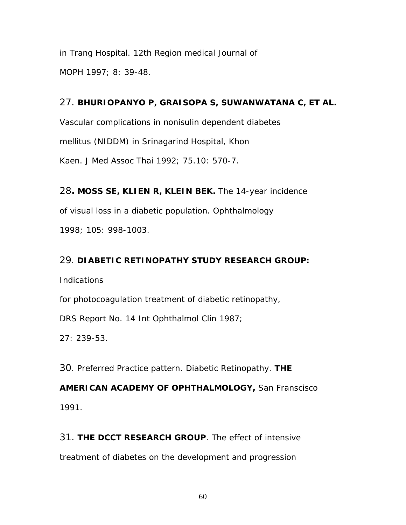in Trang Hospital. 12th Region medical Journal of MOPH 1997; 8: 39-48.

#### 27. **BHURIOPANYO P, GRAISOPA S, SUWANWATANA C, ET AL.**

Vascular complications in nonisulin dependent diabetes mellitus (NIDDM) in Srinagarind Hospital, Khon Kaen. J Med Assoc Thai 1992; 75.10: 570-7.

28**. MOSS SE, KLIEN R, KLEIN BEK.** The 14-year incidence of visual loss in a diabetic population. Ophthalmology 1998; 105: 998-1003.

#### 29. **DIABETIC RETINOPATHY STUDY RESEARCH GROUP:**

Indications

for photocoagulation treatment of diabetic retinopathy,

DRS Report No. 14 Int Ophthalmol Clin 1987;

27: 239-53.

30. Preferred Practice pattern. Diabetic Retinopathy. **THE** 

**AMERICAN ACADEMY OF OPHTHALMOLOGY,** San Franscisco 1991.

31. **THE DCCT RESEARCH GROUP**. The effect of intensive treatment of diabetes on the development and progression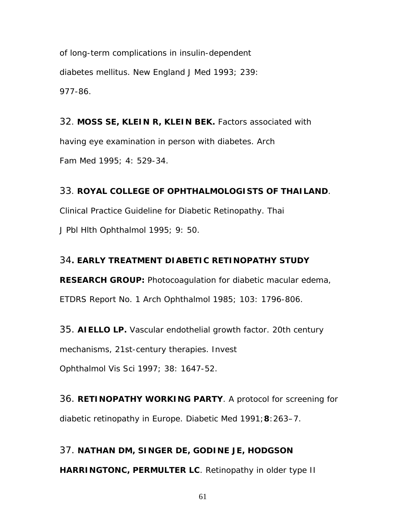of long-term complications in insulin-dependent diabetes mellitus. New England J Med 1993; 239: 977-86.

32. **MOSS SE, KLEIN R, KLEIN BEK.** Factors associated with having eye examination in person with diabetes. Arch Fam Med 1995; 4: 529-34.

#### 33. **ROYAL COLLEGE OF OPHTHALMOLOGISTS OF THAILAND**.

Clinical Practice Guideline for Diabetic Retinopathy. Thai J Pbl Hlth Ophthalmol 1995; 9: 50.

#### 34**. EARLY TREATMENT DIABETIC RETINOPATHY STUDY**

**RESEARCH GROUP:** Photocoagulation for diabetic macular edema, ETDRS Report No. 1 Arch Ophthalmol 1985; 103: 1796-806.

35. **AIELLO LP.** Vascular endothelial growth factor. 20th century

mechanisms, 21st-century therapies. Invest

Ophthalmol Vis Sci 1997; 38: 1647-52.

36. **RETINOPATHY WORKING PARTY**. A protocol for screening for diabetic retinopathy in Europe. *Diabetic Med* 1991;**8**:263–7.

37. **NATHAN DM, SINGER DE, GODINE JE, HODGSON HARRINGTONC, PERMULTER LC**. Retinopathy in older type II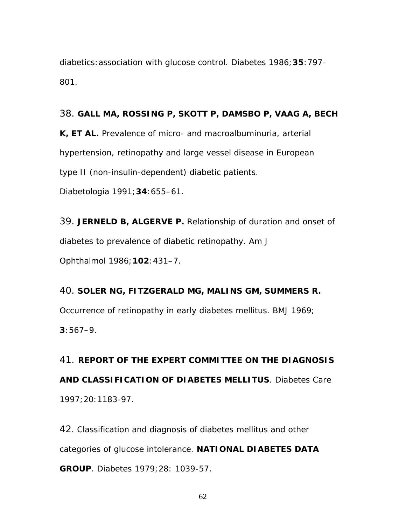diabetics:association with glucose control. *Diabetes* 1986;**35**:797– 801.

#### 38. **GALL MA, ROSSING P, SKOTT P, DAMSBO P, VAAG A, BECH**

**K, ET AL.** Prevalence of micro- and macroalbuminuria, arterial hypertension, retinopathy and large vessel disease in European type II (non-insulin-dependent) diabetic patients.

*Diabetologia* 1991;**34**:655–61.

39. **JERNELD B, ALGERVE P.** Relationship of duration and onset of diabetes to prevalence of diabetic retinopathy. *Am J Ophthalmol* 1986;**102**:431–7.

40. **SOLER NG, FITZGERALD MG, MALINS GM, SUMMERS R.** Occurrence of retinopathy in early diabetes mellitus. *BMJ* 1969; **3**:567–9.

41. **REPORT OF THE EXPERT COMMITTEE ON THE DIAGNOSIS AND CLASSIFICATION OF DIABETES MELLITUS**. Diabetes Care 1997;20:1183-97.

42. Classification and diagnosis of diabetes mellitus and other categories of glucose intolerance. **NATIONAL DIABETES DATA GROUP**. Diabetes 1979;28: 1039-57.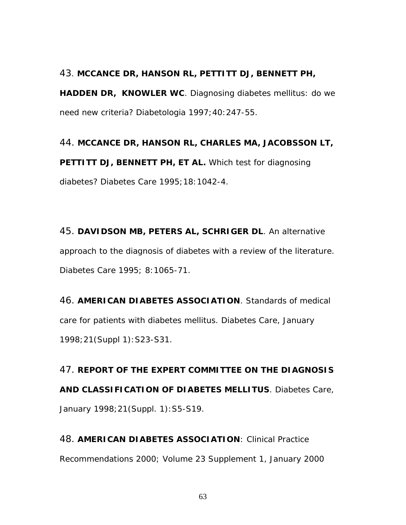#### 43. **MCCANCE DR, HANSON RL, PETTITT DJ, BENNETT PH,**

**HADDEN DR, KNOWLER WC**. Diagnosing diabetes mellitus: do we need new criteria? Diabetologia 1997;40:247-55.

44. **MCCANCE DR, HANSON RL, CHARLES MA, JACOBSSON LT, PETTITT DJ, BENNETT PH, ET AL.** Which test for diagnosing diabetes? Diabetes Care 1995;18:1042-4.

45. **DAVIDSON MB, PETERS AL, SCHRIGER DL**. An alternative approach to the diagnosis of diabetes with a review of the literature. Diabetes Care 1995; 8:1065-71.

46. **AMERICAN DIABETES ASSOCIATION**. Standards of medical care for patients with diabetes mellitus. Diabetes Care, January 1998;21(Suppl 1):S23-S31.

47. **REPORT OF THE EXPERT COMMITTEE ON THE DIAGNOSIS AND CLASSIFICATION OF DIABETES MELLITUS**. Diabetes Care, January 1998;21(Suppl. 1):S5-S19.

48. **AMERICAN DIABETES ASSOCIATION**: Clinical Practice Recommendations 2000; Volume 23 Supplement 1, January 2000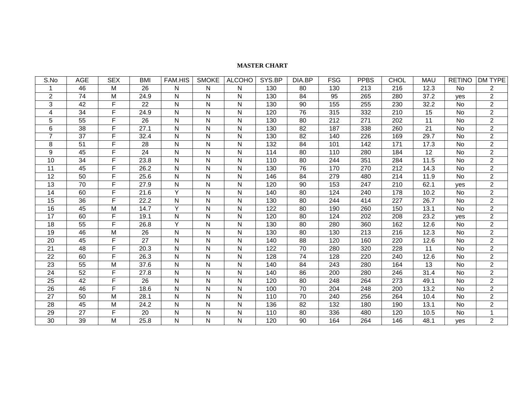#### **MASTER CHART**

| S.No           | <b>AGE</b>      | <b>SEX</b> | <b>BMI</b> | <b>FAM.HIS</b> | <b>SMOKE</b> | <b>ALCOHO</b> | SYS.BP | DIA.BP          | <b>FSG</b> | <b>PPBS</b> | <b>CHOL</b> | <b>MAU</b>      | <b>RETINO</b> | DM TYPE        |
|----------------|-----------------|------------|------------|----------------|--------------|---------------|--------|-----------------|------------|-------------|-------------|-----------------|---------------|----------------|
|                | 46              | M          | 26         | N              | N            | N             | 130    | 80              | 130        | 213         | 216         | 12.3            | No            | $\overline{2}$ |
| 2              | 74              | M          | 24.9       | N              | N            | N             | 130    | 84              | 95         | 265         | 280         | 37.2            | yes           | $\overline{2}$ |
| 3              | 42              | F          | 22         | N              | N            | N             | 130    | 90              | 155        | 255         | 230         | 32.2            | No            | $\overline{2}$ |
| 4              | 34              | F          | 24.9       | N              | $\mathsf{N}$ | N             | 120    | 76              | 315        | 332         | 210         | 15              | No            | $\overline{2}$ |
| 5              | 55              | F          | 26         | N              | N            | N             | 130    | 80              | 212        | 271         | 202         | 11              | No            | $\overline{2}$ |
| 6              | $\overline{38}$ | F          | 27.1       | N              | N            | N             | 130    | 82              | 187        | 338         | 260         | 21              | <b>No</b>     | $\overline{2}$ |
| $\overline{7}$ | $\overline{37}$ | F          | 32.4       | N              | ${\sf N}$    | N             | 130    | 82              | 140        | 226         | 169         | 29.7            | No            | $\overline{2}$ |
| 8              | 51              | F          | 28         | N              | N            | N             | 132    | 84              | 101        | 142         | 171         | 17.3            | No            | $\overline{2}$ |
| 9              | 45              | F          | 24         | N              | $\mathsf{N}$ | N             | 114    | 80              | 110        | 280         | 184         | $\overline{12}$ | No            | $\overline{2}$ |
| 10             | 34              | F          | 23.8       | N              | N            | N             | 110    | 80              | 244        | 351         | 284         | 11.5            | No            | $\overline{2}$ |
| 11             | 45              | F          | 26.2       | N              | N            | N             | 130    | 76              | 170        | 270         | 212         | 14.3            | No            | $\overline{2}$ |
| 12             | 50              | F          | 25.6       | N              | N            | N             | 146    | 84              | 279        | 480         | 214         | 11.9            | No            | $\overline{2}$ |
| 13             | 70              | F          | 27.9       | N              | N            | N             | 120    | 90              | 153        | 247         | 210         | 62.1            | yes           | $\overline{2}$ |
| 14             | 60              | F          | 21.6       | Y              | N            | N             | 140    | 80              | 124        | 240         | 178         | 10.2            | No            | $\overline{2}$ |
| 15             | 36              | F          | 22.2       | N              | N            | N             | 130    | 80              | 244        | 414         | 227         | 26.7            | No            | $\overline{2}$ |
| 16             | 45              | M          | 14.7       | Y              | N            | ${\sf N}$     | 122    | 80              | 190        | 260         | 150         | 13.1            | No            | $\overline{2}$ |
| 17             | 60              | F          | 19.1       | N              | N            | N             | 120    | 80              | 124        | 202         | 208         | 23.2            | yes           | $\overline{2}$ |
| 18             | $\overline{55}$ | F          | 26.8       | Y              | $\mathsf{N}$ | N             | 130    | 80              | 280        | 360         | 162         | 12.6            | No            | $\overline{2}$ |
| 19             | 46              | M          | 26         | N              | ${\sf N}$    | N             | 130    | 80              | 130        | 213         | 216         | 12.3            | No            | $\overline{2}$ |
| 20             | 45              | F          | 27         | N              | N            | N             | 140    | 88              | 120        | 160         | 220         | 12.6            | No            | $\overline{2}$ |
| 21             | $\overline{48}$ | F          | 20.3       | $\mathsf{N}$   | $\mathsf{N}$ | N             | 122    | $\overline{70}$ | 280        | 320         | 228         | 11              | No            | $\overline{2}$ |
| 22             | 60              | F          | 26.3       | N              | N            | N             | 128    | 74              | 128        | 220         | 240         | 12.6            | No            | $\overline{2}$ |
| 23             | 55              | M          | 37.6       | N              | N            | N             | 140    | 84              | 243        | 280         | 164         | 13              | No            | $\overline{2}$ |
| 24             | $\overline{52}$ | F          | 27.8       | N              | $\mathsf{N}$ | N             | 140    | 86              | 200        | 280         | 246         | 31.4            | No            | $\overline{2}$ |
| 25             | 42              | F          | 26         | N              | N            | N             | 120    | 80              | 248        | 264         | 273         | 49.1            | No            | $\overline{2}$ |
| 26             | 46              | F          | 18.6       | N              | N            | N             | 100    | 70              | 204        | 248         | 200         | 13.2            | No            | $\overline{2}$ |
| 27             | 50              | M          | 28.1       | N              | N            | N             | 110    | 70              | 240        | 256         | 264         | 10.4            | No            | $\overline{2}$ |
| 28             | 45              | M          | 24.2       | N              | N            | N             | 136    | 82              | 132        | 180         | 190         | 13.1            | No            | $\overline{2}$ |
| 29             | 27              | F          | 20         | N              | N            | ${\sf N}$     | 110    | 80              | 336        | 480         | 120         | 10.5            | No            | $\mathbf{1}$   |
| 30             | 39              | M          | 25.8       | N              | N            | N             | 120    | 90              | 164        | 264         | 146         | 48.1            | yes           | $\overline{2}$ |